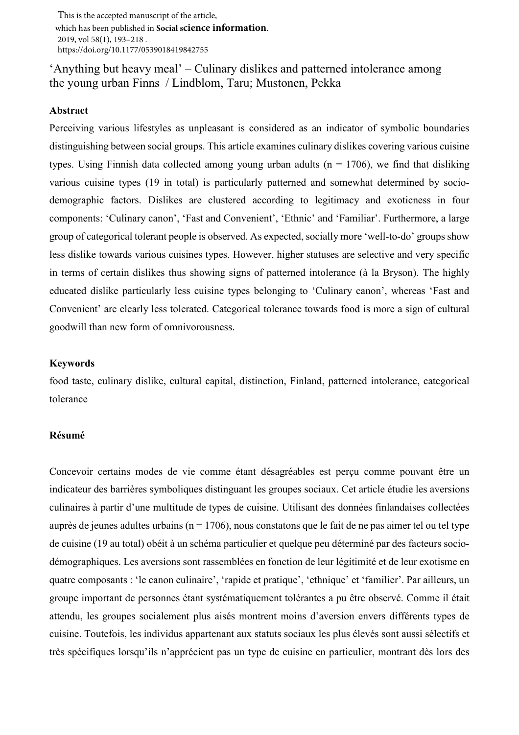This is the accepted manuscript of the article, which has been published in **Social science information**. 2019, vol 58(1), 193–218 . https://doi.org/10.1177/0539018419842755

# 'Anything but heavy meal' – Culinary dislikes and patterned intolerance among the young urban Finns / Lindblom, Taru; Mustonen, Pekka

## **Abstract**

Perceiving various lifestyles as unpleasant is considered as an indicator of symbolic boundaries distinguishing between social groups. This article examines culinary dislikes covering various cuisine types. Using Finnish data collected among young urban adults ( $n = 1706$ ), we find that disliking various cuisine types (19 in total) is particularly patterned and somewhat determined by sociodemographic factors. Dislikes are clustered according to legitimacy and exoticness in four components: 'Culinary canon', 'Fast and Convenient', 'Ethnic' and 'Familiar'. Furthermore, a large group of categorical tolerant people is observed. As expected, socially more 'well-to-do' groups show less dislike towards various cuisines types. However, higher statuses are selective and very specific in terms of certain dislikes thus showing signs of patterned intolerance (à la Bryson). The highly educated dislike particularly less cuisine types belonging to 'Culinary canon', whereas 'Fast and Convenient' are clearly less tolerated. Categorical tolerance towards food is more a sign of cultural goodwill than new form of omnivorousness.

## **Keywords**

food taste, culinary dislike, cultural capital, distinction, Finland, patterned intolerance, categorical tolerance

## **Résumé**

Concevoir certains modes de vie comme étant désagréables est perçu comme pouvant être un indicateur des barrières symboliques distinguant les groupes sociaux. Cet article étudie les aversions culinaires à partir d'une multitude de types de cuisine. Utilisant des données finlandaises collectées auprès de jeunes adultes urbains ( $n = 1706$ ), nous constatons que le fait de ne pas aimer tel ou tel type de cuisine (19 au total) obéit à un schéma particulier et quelque peu déterminé par des facteurs sociodémographiques. Les aversions sont rassemblées en fonction de leur légitimité et de leur exotisme en quatre composants : 'le canon culinaire', 'rapide et pratique', 'ethnique' et 'familier'. Par ailleurs, un groupe important de personnes étant systématiquement tolérantes a pu être observé. Comme il était attendu, les groupes socialement plus aisés montrent moins d'aversion envers différents types de cuisine. Toutefois, les individus appartenant aux statuts sociaux les plus élevés sont aussi sélectifs et très spécifiques lorsqu'ils n'apprécient pas un type de cuisine en particulier, montrant dès lors des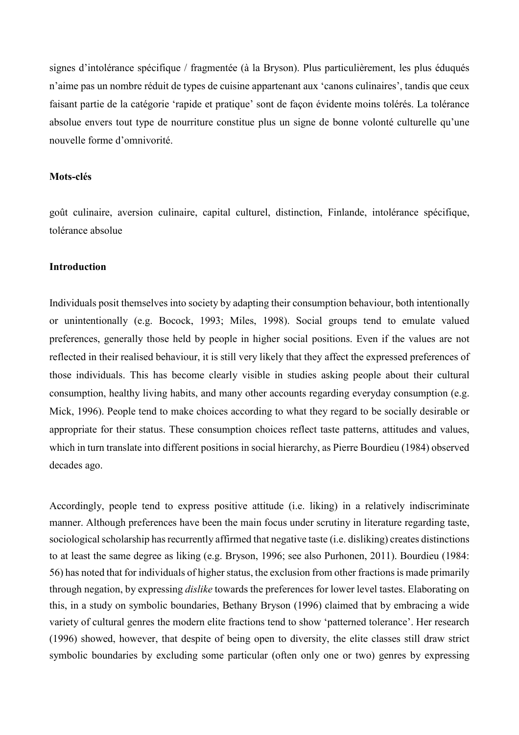signes d'intolérance spécifique / fragmentée (à la Bryson). Plus particulièrement, les plus éduqués n'aime pas un nombre réduit de types de cuisine appartenant aux 'canons culinaires', tandis que ceux faisant partie de la catégorie 'rapide et pratique' sont de façon évidente moins tolérés. La tolérance absolue envers tout type de nourriture constitue plus un signe de bonne volonté culturelle qu'une nouvelle forme d'omnivorité.

### **Mots-clés**

goût culinaire, aversion culinaire, capital culturel, distinction, Finlande, intolérance spécifique, tolérance absolue

## **Introduction**

Individuals posit themselves into society by adapting their consumption behaviour, both intentionally or unintentionally (e.g. Bocock, 1993; Miles, 1998). Social groups tend to emulate valued preferences, generally those held by people in higher social positions. Even if the values are not reflected in their realised behaviour, it is still very likely that they affect the expressed preferences of those individuals. This has become clearly visible in studies asking people about their cultural consumption, healthy living habits, and many other accounts regarding everyday consumption (e.g. Mick, 1996). People tend to make choices according to what they regard to be socially desirable or appropriate for their status. These consumption choices reflect taste patterns, attitudes and values, which in turn translate into different positions in social hierarchy, as Pierre Bourdieu (1984) observed decades ago.

Accordingly, people tend to express positive attitude (i.e. liking) in a relatively indiscriminate manner. Although preferences have been the main focus under scrutiny in literature regarding taste, sociological scholarship has recurrently affirmed that negative taste (i.e. disliking) creates distinctions to at least the same degree as liking (e.g. Bryson, 1996; see also Purhonen, 2011). Bourdieu (1984: 56) has noted that for individuals of higher status, the exclusion from other fractions is made primarily through negation, by expressing *dislike* towards the preferences for lower level tastes. Elaborating on this, in a study on symbolic boundaries, Bethany Bryson (1996) claimed that by embracing a wide variety of cultural genres the modern elite fractions tend to show 'patterned tolerance'. Her research (1996) showed, however, that despite of being open to diversity, the elite classes still draw strict symbolic boundaries by excluding some particular (often only one or two) genres by expressing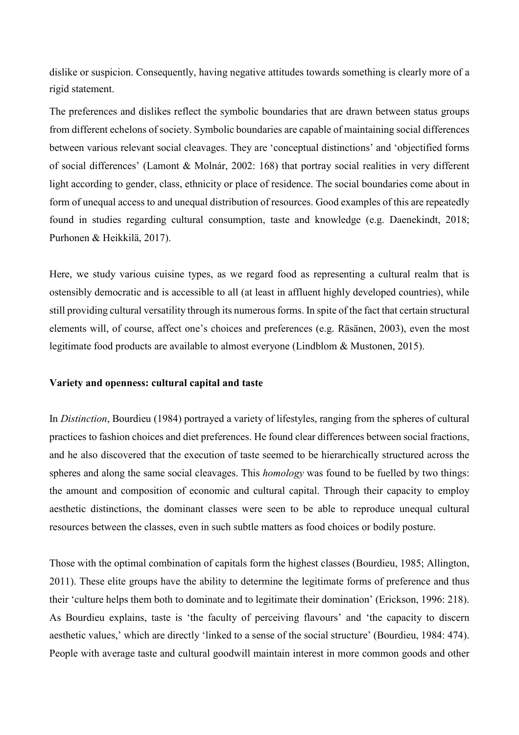dislike or suspicion. Consequently, having negative attitudes towards something is clearly more of a rigid statement.

The preferences and dislikes reflect the symbolic boundaries that are drawn between status groups from different echelons of society. Symbolic boundaries are capable of maintaining social differences between various relevant social cleavages. They are 'conceptual distinctions' and 'objectified forms of social differences' (Lamont & Molnár, 2002: 168) that portray social realities in very different light according to gender, class, ethnicity or place of residence. The social boundaries come about in form of unequal access to and unequal distribution of resources. Good examples of this are repeatedly found in studies regarding cultural consumption, taste and knowledge (e.g. Daenekindt, 2018; Purhonen & Heikkilä, 2017).

Here, we study various cuisine types, as we regard food as representing a cultural realm that is ostensibly democratic and is accessible to all (at least in affluent highly developed countries), while still providing cultural versatility through its numerous forms. In spite of the fact that certain structural elements will, of course, affect one's choices and preferences (e.g. Räsänen, 2003), even the most legitimate food products are available to almost everyone (Lindblom & Mustonen, 2015).

## **Variety and openness: cultural capital and taste**

In *Distinction*, Bourdieu (1984) portrayed a variety of lifestyles, ranging from the spheres of cultural practices to fashion choices and diet preferences. He found clear differences between social fractions, and he also discovered that the execution of taste seemed to be hierarchically structured across the spheres and along the same social cleavages. This *homology* was found to be fuelled by two things: the amount and composition of economic and cultural capital. Through their capacity to employ aesthetic distinctions, the dominant classes were seen to be able to reproduce unequal cultural resources between the classes, even in such subtle matters as food choices or bodily posture.

Those with the optimal combination of capitals form the highest classes (Bourdieu, 1985; Allington, 2011). These elite groups have the ability to determine the legitimate forms of preference and thus their 'culture helps them both to dominate and to legitimate their domination' (Erickson, 1996: 218). As Bourdieu explains, taste is 'the faculty of perceiving flavours' and 'the capacity to discern aesthetic values,' which are directly 'linked to a sense of the social structure' (Bourdieu, 1984: 474). People with average taste and cultural goodwill maintain interest in more common goods and other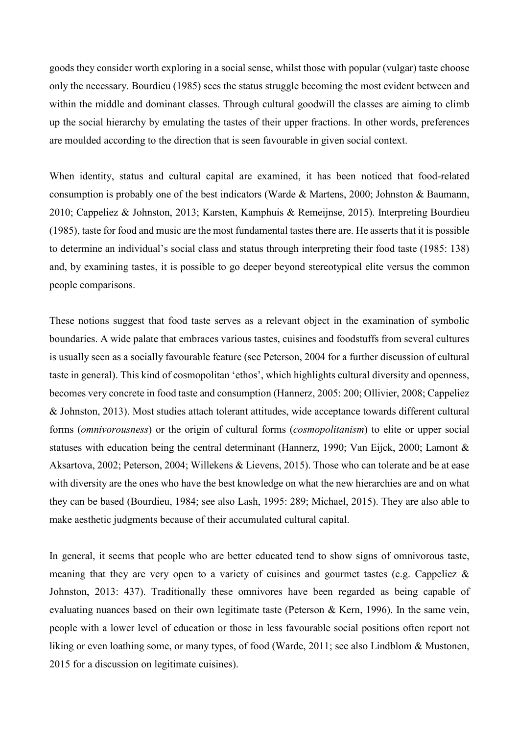goods they consider worth exploring in a social sense, whilst those with popular (vulgar) taste choose only the necessary. Bourdieu (1985) sees the status struggle becoming the most evident between and within the middle and dominant classes. Through cultural goodwill the classes are aiming to climb up the social hierarchy by emulating the tastes of their upper fractions. In other words, preferences are moulded according to the direction that is seen favourable in given social context.

When identity, status and cultural capital are examined, it has been noticed that food-related consumption is probably one of the best indicators (Warde & Martens, 2000; Johnston & Baumann, 2010; Cappeliez & Johnston, 2013; Karsten, Kamphuis & Remeijnse, 2015). Interpreting Bourdieu (1985), taste for food and music are the most fundamental tastes there are. He asserts that it is possible to determine an individual's social class and status through interpreting their food taste (1985: 138) and, by examining tastes, it is possible to go deeper beyond stereotypical elite versus the common people comparisons.

These notions suggest that food taste serves as a relevant object in the examination of symbolic boundaries. A wide palate that embraces various tastes, cuisines and foodstuffs from several cultures is usually seen as a socially favourable feature (see Peterson, 2004 for a further discussion of cultural taste in general). This kind of cosmopolitan 'ethos', which highlights cultural diversity and openness, becomes very concrete in food taste and consumption (Hannerz, 2005: 200; Ollivier, 2008; Cappeliez & Johnston, 2013). Most studies attach tolerant attitudes, wide acceptance towards different cultural forms (*omnivorousness*) or the origin of cultural forms (*cosmopolitanism*) to elite or upper social statuses with education being the central determinant (Hannerz, 1990; Van Eijck, 2000; Lamont & Aksartova, 2002; Peterson, 2004; Willekens & Lievens, 2015). Those who can tolerate and be at ease with diversity are the ones who have the best knowledge on what the new hierarchies are and on what they can be based (Bourdieu, 1984; see also Lash, 1995: 289; Michael, 2015). They are also able to make aesthetic judgments because of their accumulated cultural capital.

In general, it seems that people who are better educated tend to show signs of omnivorous taste, meaning that they are very open to a variety of cuisines and gourmet tastes (e.g. Cappeliez & Johnston, 2013: 437). Traditionally these omnivores have been regarded as being capable of evaluating nuances based on their own legitimate taste (Peterson & Kern, 1996). In the same vein, people with a lower level of education or those in less favourable social positions often report not liking or even loathing some, or many types, of food (Warde, 2011; see also Lindblom & Mustonen, 2015 for a discussion on legitimate cuisines).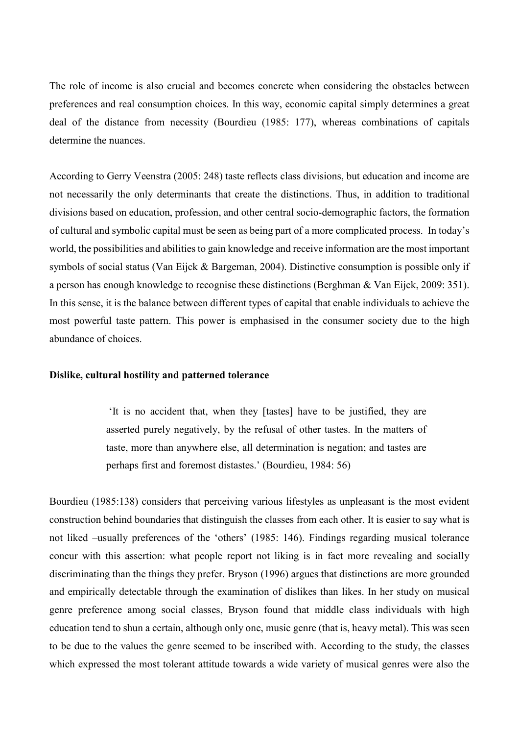The role of income is also crucial and becomes concrete when considering the obstacles between preferences and real consumption choices. In this way, economic capital simply determines a great deal of the distance from necessity (Bourdieu (1985: 177), whereas combinations of capitals determine the nuances.

According to Gerry Veenstra (2005: 248) taste reflects class divisions, but education and income are not necessarily the only determinants that create the distinctions. Thus, in addition to traditional divisions based on education, profession, and other central socio-demographic factors, the formation of cultural and symbolic capital must be seen as being part of a more complicated process. In today's world, the possibilities and abilities to gain knowledge and receive information are the most important symbols of social status (Van Eijck & Bargeman, 2004). Distinctive consumption is possible only if a person has enough knowledge to recognise these distinctions (Berghman & Van Eijck, 2009: 351). In this sense, it is the balance between different types of capital that enable individuals to achieve the most powerful taste pattern. This power is emphasised in the consumer society due to the high abundance of choices.

## **Dislike, cultural hostility and patterned tolerance**

'It is no accident that, when they [tastes] have to be justified, they are asserted purely negatively, by the refusal of other tastes. In the matters of taste, more than anywhere else, all determination is negation; and tastes are perhaps first and foremost distastes.' (Bourdieu, 1984: 56)

Bourdieu (1985:138) considers that perceiving various lifestyles as unpleasant is the most evident construction behind boundaries that distinguish the classes from each other. It is easier to say what is not liked –usually preferences of the 'others' (1985: 146). Findings regarding musical tolerance concur with this assertion: what people report not liking is in fact more revealing and socially discriminating than the things they prefer. Bryson (1996) argues that distinctions are more grounded and empirically detectable through the examination of dislikes than likes. In her study on musical genre preference among social classes, Bryson found that middle class individuals with high education tend to shun a certain, although only one, music genre (that is, heavy metal). This was seen to be due to the values the genre seemed to be inscribed with. According to the study, the classes which expressed the most tolerant attitude towards a wide variety of musical genres were also the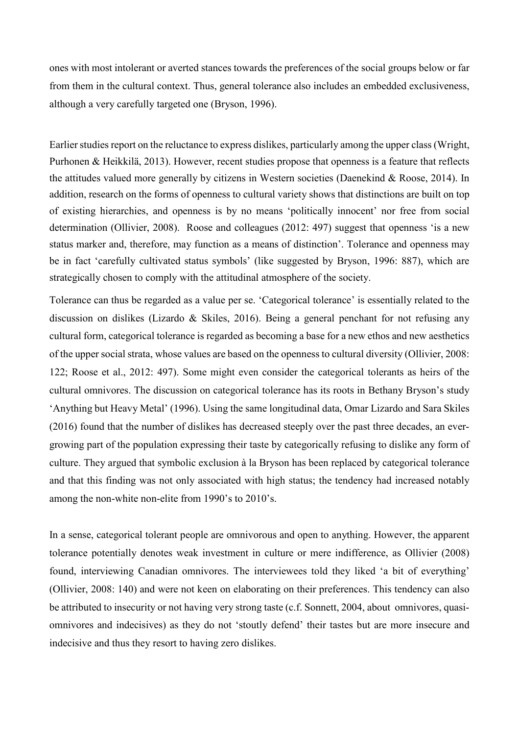ones with most intolerant or averted stances towards the preferences of the social groups below or far from them in the cultural context. Thus, general tolerance also includes an embedded exclusiveness, although a very carefully targeted one (Bryson, 1996).

Earlier studies report on the reluctance to express dislikes, particularly among the upper class (Wright, Purhonen & Heikkilä, 2013). However, recent studies propose that openness is a feature that reflects the attitudes valued more generally by citizens in Western societies (Daenekind & Roose, 2014). In addition, research on the forms of openness to cultural variety shows that distinctions are built on top of existing hierarchies, and openness is by no means 'politically innocent' nor free from social determination (Ollivier, 2008). Roose and colleagues (2012: 497) suggest that openness 'is a new status marker and, therefore, may function as a means of distinction'. Tolerance and openness may be in fact 'carefully cultivated status symbols' (like suggested by Bryson, 1996: 887), which are strategically chosen to comply with the attitudinal atmosphere of the society.

Tolerance can thus be regarded as a value per se. 'Categorical tolerance' is essentially related to the discussion on dislikes (Lizardo & Skiles, 2016). Being a general penchant for not refusing any cultural form, categorical tolerance is regarded as becoming a base for a new ethos and new aesthetics of the upper social strata, whose values are based on the openness to cultural diversity (Ollivier, 2008: 122; Roose et al., 2012: 497). Some might even consider the categorical tolerants as heirs of the cultural omnivores. The discussion on categorical tolerance has its roots in Bethany Bryson's study 'Anything but Heavy Metal' (1996). Using the same longitudinal data, Omar Lizardo and Sara Skiles (2016) found that the number of dislikes has decreased steeply over the past three decades, an evergrowing part of the population expressing their taste by categorically refusing to dislike any form of culture. They argued that symbolic exclusion à la Bryson has been replaced by categorical tolerance and that this finding was not only associated with high status; the tendency had increased notably among the non-white non-elite from 1990's to 2010's.

In a sense, categorical tolerant people are omnivorous and open to anything. However, the apparent tolerance potentially denotes weak investment in culture or mere indifference, as Ollivier (2008) found, interviewing Canadian omnivores. The interviewees told they liked 'a bit of everything' (Ollivier, 2008: 140) and were not keen on elaborating on their preferences. This tendency can also be attributed to insecurity or not having very strong taste (c.f. Sonnett, 2004, about omnivores, quasiomnivores and indecisives) as they do not 'stoutly defend' their tastes but are more insecure and indecisive and thus they resort to having zero dislikes.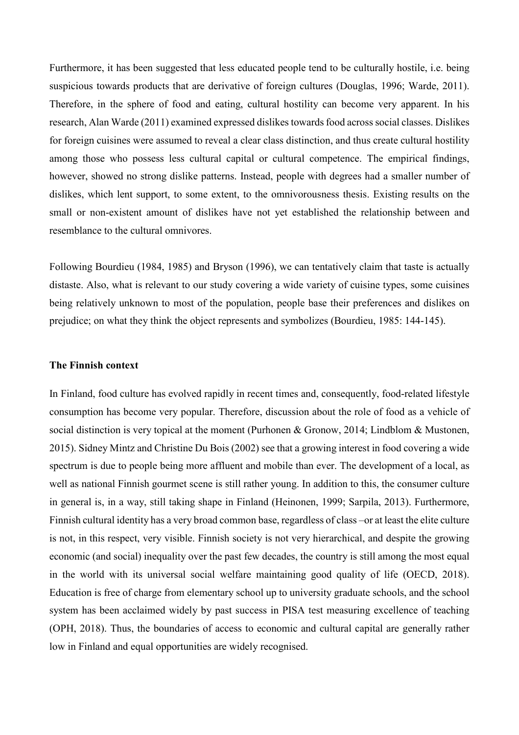Furthermore, it has been suggested that less educated people tend to be culturally hostile, i.e. being suspicious towards products that are derivative of foreign cultures (Douglas, 1996; Warde, 2011). Therefore, in the sphere of food and eating, cultural hostility can become very apparent. In his research, Alan Warde (2011) examined expressed dislikes towards food across social classes. Dislikes for foreign cuisines were assumed to reveal a clear class distinction, and thus create cultural hostility among those who possess less cultural capital or cultural competence. The empirical findings, however, showed no strong dislike patterns. Instead, people with degrees had a smaller number of dislikes, which lent support, to some extent, to the omnivorousness thesis. Existing results on the small or non-existent amount of dislikes have not yet established the relationship between and resemblance to the cultural omnivores.

Following Bourdieu (1984, 1985) and Bryson (1996), we can tentatively claim that taste is actually distaste. Also, what is relevant to our study covering a wide variety of cuisine types, some cuisines being relatively unknown to most of the population, people base their preferences and dislikes on prejudice; on what they think the object represents and symbolizes (Bourdieu, 1985: 144-145).

## **The Finnish context**

In Finland, food culture has evolved rapidly in recent times and, consequently, food-related lifestyle consumption has become very popular. Therefore, discussion about the role of food as a vehicle of social distinction is very topical at the moment (Purhonen & Gronow, 2014; Lindblom & Mustonen, 2015). Sidney Mintz and Christine Du Bois (2002) see that a growing interest in food covering a wide spectrum is due to people being more affluent and mobile than ever. The development of a local, as well as national Finnish gourmet scene is still rather young. In addition to this, the consumer culture in general is, in a way, still taking shape in Finland (Heinonen, 1999; Sarpila, 2013). Furthermore, Finnish cultural identity has a very broad common base, regardless of class –or at least the elite culture is not, in this respect, very visible. Finnish society is not very hierarchical, and despite the growing economic (and social) inequality over the past few decades, the country is still among the most equal in the world with its universal social welfare maintaining good quality of life (OECD, 2018). Education is free of charge from elementary school up to university graduate schools, and the school system has been acclaimed widely by past success in PISA test measuring excellence of teaching (OPH, 2018). Thus, the boundaries of access to economic and cultural capital are generally rather low in Finland and equal opportunities are widely recognised.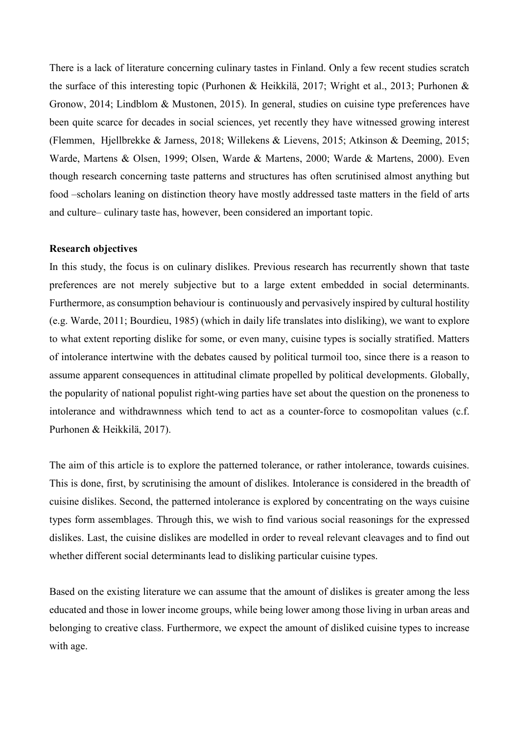There is a lack of literature concerning culinary tastes in Finland. Only a few recent studies scratch the surface of this interesting topic (Purhonen & Heikkilä, 2017; Wright et al., 2013; Purhonen & Gronow, 2014; Lindblom & Mustonen, 2015). In general, studies on cuisine type preferences have been quite scarce for decades in social sciences, yet recently they have witnessed growing interest (Flemmen, Hjellbrekke & Jarness, 2018; Willekens & Lievens, 2015; Atkinson & Deeming, 2015; Warde, Martens & Olsen, 1999; Olsen, Warde & Martens, 2000; Warde & Martens, 2000). Even though research concerning taste patterns and structures has often scrutinised almost anything but food –scholars leaning on distinction theory have mostly addressed taste matters in the field of arts and culture– culinary taste has, however, been considered an important topic.

## **Research objectives**

In this study, the focus is on culinary dislikes. Previous research has recurrently shown that taste preferences are not merely subjective but to a large extent embedded in social determinants. Furthermore, as consumption behaviour is continuously and pervasively inspired by cultural hostility (e.g. Warde, 2011; Bourdieu, 1985) (which in daily life translates into disliking), we want to explore to what extent reporting dislike for some, or even many, cuisine types is socially stratified. Matters of intolerance intertwine with the debates caused by political turmoil too, since there is a reason to assume apparent consequences in attitudinal climate propelled by political developments. Globally, the popularity of national populist right-wing parties have set about the question on the proneness to intolerance and withdrawnness which tend to act as a counter-force to cosmopolitan values (c.f. Purhonen & Heikkilä, 2017).

The aim of this article is to explore the patterned tolerance, or rather intolerance, towards cuisines. This is done, first, by scrutinising the amount of dislikes. Intolerance is considered in the breadth of cuisine dislikes. Second, the patterned intolerance is explored by concentrating on the ways cuisine types form assemblages. Through this, we wish to find various social reasonings for the expressed dislikes. Last, the cuisine dislikes are modelled in order to reveal relevant cleavages and to find out whether different social determinants lead to disliking particular cuisine types.

Based on the existing literature we can assume that the amount of dislikes is greater among the less educated and those in lower income groups, while being lower among those living in urban areas and belonging to creative class. Furthermore, we expect the amount of disliked cuisine types to increase with age.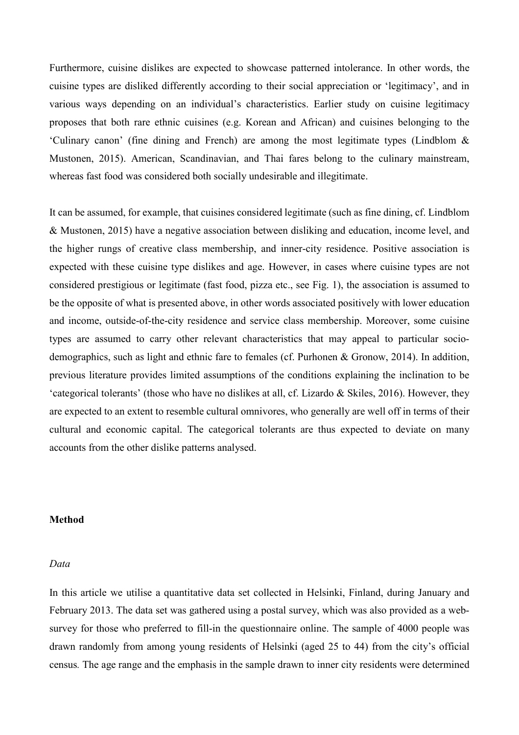Furthermore, cuisine dislikes are expected to showcase patterned intolerance. In other words, the cuisine types are disliked differently according to their social appreciation or 'legitimacy', and in various ways depending on an individual's characteristics. Earlier study on cuisine legitimacy proposes that both rare ethnic cuisines (e.g. Korean and African) and cuisines belonging to the 'Culinary canon' (fine dining and French) are among the most legitimate types (Lindblom & Mustonen, 2015). American, Scandinavian, and Thai fares belong to the culinary mainstream, whereas fast food was considered both socially undesirable and illegitimate.

It can be assumed, for example, that cuisines considered legitimate (such as fine dining, cf. Lindblom & Mustonen, 2015) have a negative association between disliking and education, income level, and the higher rungs of creative class membership, and inner-city residence. Positive association is expected with these cuisine type dislikes and age. However, in cases where cuisine types are not considered prestigious or legitimate (fast food, pizza etc., see Fig. 1), the association is assumed to be the opposite of what is presented above, in other words associated positively with lower education and income, outside-of-the-city residence and service class membership. Moreover, some cuisine types are assumed to carry other relevant characteristics that may appeal to particular sociodemographics, such as light and ethnic fare to females (cf. Purhonen & Gronow, 2014). In addition, previous literature provides limited assumptions of the conditions explaining the inclination to be 'categorical tolerants' (those who have no dislikes at all, cf. Lizardo & Skiles, 2016). However, they are expected to an extent to resemble cultural omnivores, who generally are well off in terms of their cultural and economic capital. The categorical tolerants are thus expected to deviate on many accounts from the other dislike patterns analysed.

## **Method**

#### *Data*

In this article we utilise a quantitative data set collected in Helsinki, Finland, during January and February 2013. The data set was gathered using a postal survey, which was also provided as a websurvey for those who preferred to fill-in the questionnaire online. The sample of 4000 people was drawn randomly from among young residents of Helsinki (aged 25 to 44) from the city's official census*.* The age range and the emphasis in the sample drawn to inner city residents were determined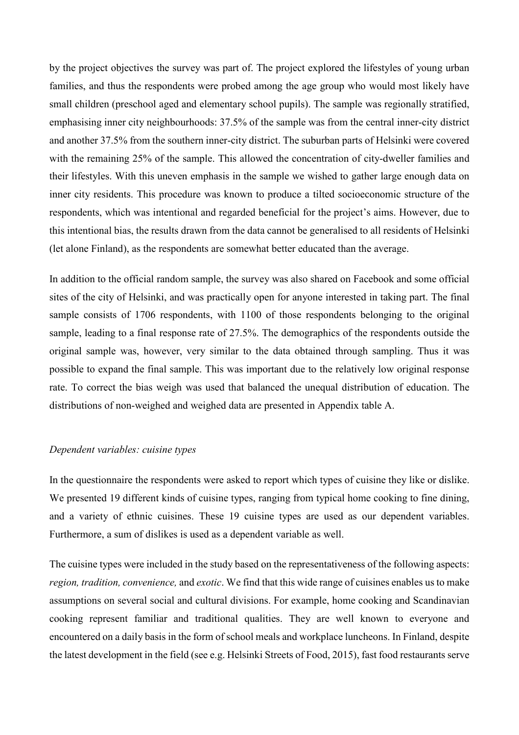by the project objectives the survey was part of. The project explored the lifestyles of young urban families, and thus the respondents were probed among the age group who would most likely have small children (preschool aged and elementary school pupils). The sample was regionally stratified, emphasising inner city neighbourhoods: 37.5% of the sample was from the central inner-city district and another 37.5% from the southern inner-city district. The suburban parts of Helsinki were covered with the remaining 25% of the sample. This allowed the concentration of city-dweller families and their lifestyles. With this uneven emphasis in the sample we wished to gather large enough data on inner city residents. This procedure was known to produce a tilted socioeconomic structure of the respondents, which was intentional and regarded beneficial for the project's aims. However, due to this intentional bias, the results drawn from the data cannot be generalised to all residents of Helsinki (let alone Finland), as the respondents are somewhat better educated than the average.

In addition to the official random sample, the survey was also shared on Facebook and some official sites of the city of Helsinki, and was practically open for anyone interested in taking part. The final sample consists of 1706 respondents, with 1100 of those respondents belonging to the original sample, leading to a final response rate of 27.5%. The demographics of the respondents outside the original sample was, however, very similar to the data obtained through sampling. Thus it was possible to expand the final sample. This was important due to the relatively low original response rate. To correct the bias weigh was used that balanced the unequal distribution of education. The distributions of non-weighed and weighed data are presented in Appendix table A.

#### *Dependent variables: cuisine types*

In the questionnaire the respondents were asked to report which types of cuisine they like or dislike. We presented 19 different kinds of cuisine types, ranging from typical home cooking to fine dining, and a variety of ethnic cuisines. These 19 cuisine types are used as our dependent variables. Furthermore, a sum of dislikes is used as a dependent variable as well.

The cuisine types were included in the study based on the representativeness of the following aspects: *region, tradition, convenience,* and *exotic*. We find that this wide range of cuisines enables us to make assumptions on several social and cultural divisions. For example, home cooking and Scandinavian cooking represent familiar and traditional qualities. They are well known to everyone and encountered on a daily basis in the form of school meals and workplace luncheons. In Finland, despite the latest development in the field (see e.g. Helsinki Streets of Food, 2015), fast food restaurants serve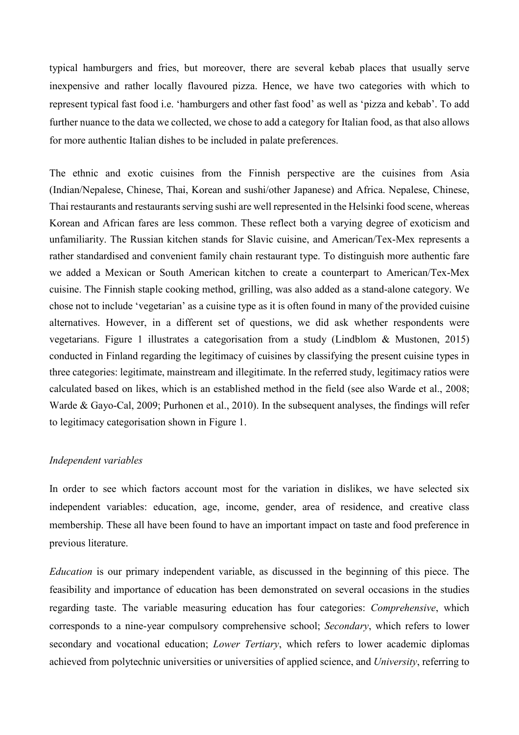typical hamburgers and fries, but moreover, there are several kebab places that usually serve inexpensive and rather locally flavoured pizza. Hence, we have two categories with which to represent typical fast food i.e. 'hamburgers and other fast food' as well as 'pizza and kebab'. To add further nuance to the data we collected, we chose to add a category for Italian food, as that also allows for more authentic Italian dishes to be included in palate preferences.

The ethnic and exotic cuisines from the Finnish perspective are the cuisines from Asia (Indian/Nepalese, Chinese, Thai, Korean and sushi/other Japanese) and Africa. Nepalese, Chinese, Thai restaurants and restaurants serving sushi are well represented in the Helsinki food scene, whereas Korean and African fares are less common. These reflect both a varying degree of exoticism and unfamiliarity. The Russian kitchen stands for Slavic cuisine, and American/Tex-Mex represents a rather standardised and convenient family chain restaurant type. To distinguish more authentic fare we added a Mexican or South American kitchen to create a counterpart to American/Tex-Mex cuisine. The Finnish staple cooking method, grilling, was also added as a stand-alone category. We chose not to include 'vegetarian' as a cuisine type as it is often found in many of the provided cuisine alternatives. However, in a different set of questions, we did ask whether respondents were vegetarians. Figure 1 illustrates a categorisation from a study (Lindblom & Mustonen, 2015) conducted in Finland regarding the legitimacy of cuisines by classifying the present cuisine types in three categories: legitimate, mainstream and illegitimate. In the referred study, legitimacy ratios were calculated based on likes, which is an established method in the field (see also Warde et al., 2008; Warde & Gayo-Cal, 2009; Purhonen et al., 2010). In the subsequent analyses, the findings will refer to legitimacy categorisation shown in Figure 1.

## *Independent variables*

In order to see which factors account most for the variation in dislikes, we have selected six independent variables: education, age, income, gender, area of residence, and creative class membership. These all have been found to have an important impact on taste and food preference in previous literature.

*Education* is our primary independent variable, as discussed in the beginning of this piece. The feasibility and importance of education has been demonstrated on several occasions in the studies regarding taste. The variable measuring education has four categories: *Comprehensive*, which corresponds to a nine-year compulsory comprehensive school; *Secondary*, which refers to lower secondary and vocational education; *Lower Tertiary*, which refers to lower academic diplomas achieved from polytechnic universities or universities of applied science, and *University*, referring to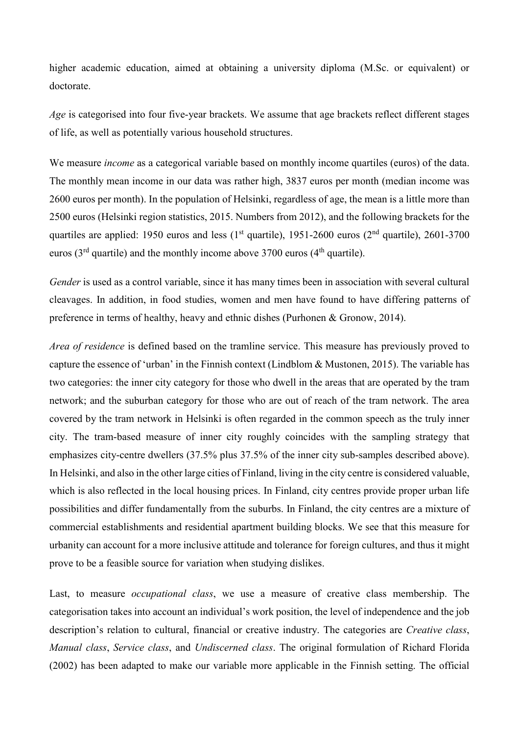higher academic education, aimed at obtaining a university diploma (M.Sc. or equivalent) or doctorate.

*Age* is categorised into four five-year brackets. We assume that age brackets reflect different stages of life, as well as potentially various household structures.

We measure *income* as a categorical variable based on monthly income quartiles (euros) of the data. The monthly mean income in our data was rather high, 3837 euros per month (median income was 2600 euros per month). In the population of Helsinki, regardless of age, the mean is a little more than 2500 euros (Helsinki region statistics, 2015. Numbers from 2012), and the following brackets for the quartiles are applied: 1950 euros and less (1<sup>st</sup> quartile), 1951-2600 euros (2<sup>nd</sup> quartile), 2601-3700 euros ( $3<sup>rd</sup>$  quartile) and the monthly income above 3700 euros ( $4<sup>th</sup>$  quartile).

*Gender* is used as a control variable, since it has many times been in association with several cultural cleavages. In addition, in food studies, women and men have found to have differing patterns of preference in terms of healthy, heavy and ethnic dishes (Purhonen & Gronow, 2014).

*Area of residence* is defined based on the tramline service. This measure has previously proved to capture the essence of 'urban' in the Finnish context (Lindblom & Mustonen, 2015). The variable has two categories: the inner city category for those who dwell in the areas that are operated by the tram network; and the suburban category for those who are out of reach of the tram network. The area covered by the tram network in Helsinki is often regarded in the common speech as the truly inner city. The tram-based measure of inner city roughly coincides with the sampling strategy that emphasizes city-centre dwellers (37.5% plus 37.5% of the inner city sub-samples described above). In Helsinki, and also in the other large cities of Finland, living in the city centre is considered valuable, which is also reflected in the local housing prices. In Finland, city centres provide proper urban life possibilities and differ fundamentally from the suburbs. In Finland, the city centres are a mixture of commercial establishments and residential apartment building blocks. We see that this measure for urbanity can account for a more inclusive attitude and tolerance for foreign cultures, and thus it might prove to be a feasible source for variation when studying dislikes.

Last, to measure *occupational class*, we use a measure of creative class membership. The categorisation takes into account an individual's work position, the level of independence and the job description's relation to cultural, financial or creative industry. The categories are *Creative class*, *Manual class*, *Service class*, and *Undiscerned class*. The original formulation of Richard Florida (2002) has been adapted to make our variable more applicable in the Finnish setting. The official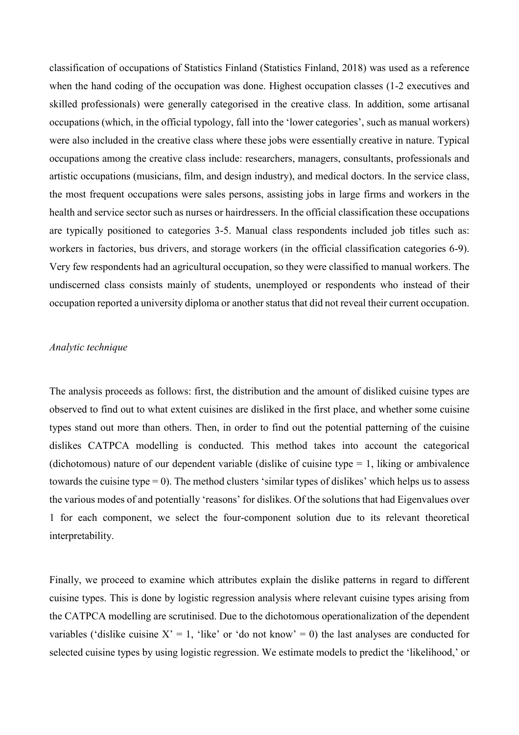classification of occupations of Statistics Finland (Statistics Finland, 2018) was used as a reference when the hand coding of the occupation was done. Highest occupation classes (1-2 executives and skilled professionals) were generally categorised in the creative class. In addition, some artisanal occupations (which, in the official typology, fall into the 'lower categories', such as manual workers) were also included in the creative class where these jobs were essentially creative in nature. Typical occupations among the creative class include: researchers, managers, consultants, professionals and artistic occupations (musicians, film, and design industry), and medical doctors. In the service class, the most frequent occupations were sales persons, assisting jobs in large firms and workers in the health and service sector such as nurses or hairdressers. In the official classification these occupations are typically positioned to categories 3-5. Manual class respondents included job titles such as: workers in factories, bus drivers, and storage workers (in the official classification categories 6-9). Very few respondents had an agricultural occupation, so they were classified to manual workers. The undiscerned class consists mainly of students, unemployed or respondents who instead of their occupation reported a university diploma or another status that did not reveal their current occupation.

## *Analytic technique*

The analysis proceeds as follows: first, the distribution and the amount of disliked cuisine types are observed to find out to what extent cuisines are disliked in the first place, and whether some cuisine types stand out more than others. Then, in order to find out the potential patterning of the cuisine dislikes CATPCA modelling is conducted. This method takes into account the categorical (dichotomous) nature of our dependent variable (dislike of cuisine type  $= 1$ , liking or ambivalence towards the cuisine type = 0). The method clusters 'similar types of dislikes' which helps us to assess the various modes of and potentially 'reasons' for dislikes. Of the solutions that had Eigenvalues over 1 for each component, we select the four-component solution due to its relevant theoretical interpretability.

Finally, we proceed to examine which attributes explain the dislike patterns in regard to different cuisine types. This is done by logistic regression analysis where relevant cuisine types arising from the CATPCA modelling are scrutinised. Due to the dichotomous operationalization of the dependent variables ('dislike cuisine  $X' = 1$ , 'like' or 'do not know' = 0) the last analyses are conducted for selected cuisine types by using logistic regression. We estimate models to predict the 'likelihood,' or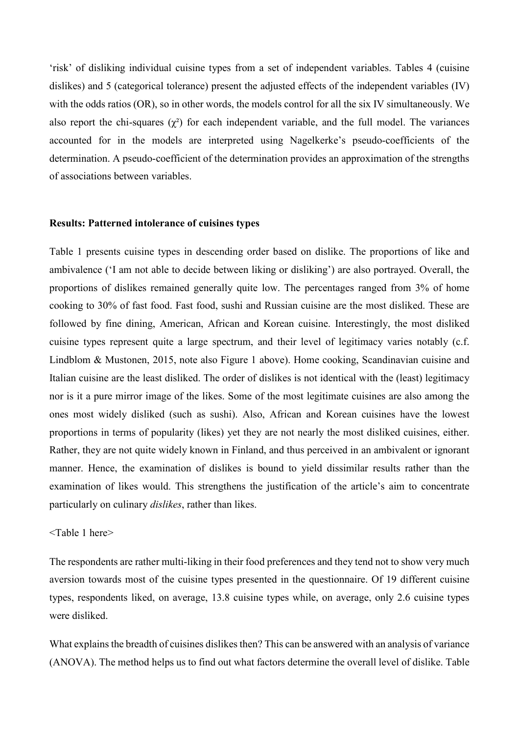'risk' of disliking individual cuisine types from a set of independent variables. Tables 4 (cuisine dislikes) and 5 (categorical tolerance) present the adjusted effects of the independent variables (IV) with the odds ratios (OR), so in other words, the models control for all the six IV simultaneously. We also report the chi-squares  $(\gamma^2)$  for each independent variable, and the full model. The variances accounted for in the models are interpreted using Nagelkerke's pseudo-coefficients of the determination. A pseudo-coefficient of the determination provides an approximation of the strengths of associations between variables.

#### **Results: Patterned intolerance of cuisines types**

Table 1 presents cuisine types in descending order based on dislike. The proportions of like and ambivalence ('I am not able to decide between liking or disliking') are also portrayed. Overall, the proportions of dislikes remained generally quite low. The percentages ranged from 3% of home cooking to 30% of fast food. Fast food, sushi and Russian cuisine are the most disliked. These are followed by fine dining, American, African and Korean cuisine. Interestingly, the most disliked cuisine types represent quite a large spectrum, and their level of legitimacy varies notably (c.f. Lindblom & Mustonen, 2015, note also Figure 1 above). Home cooking, Scandinavian cuisine and Italian cuisine are the least disliked. The order of dislikes is not identical with the (least) legitimacy nor is it a pure mirror image of the likes. Some of the most legitimate cuisines are also among the ones most widely disliked (such as sushi). Also, African and Korean cuisines have the lowest proportions in terms of popularity (likes) yet they are not nearly the most disliked cuisines, either. Rather, they are not quite widely known in Finland, and thus perceived in an ambivalent or ignorant manner. Hence, the examination of dislikes is bound to yield dissimilar results rather than the examination of likes would. This strengthens the justification of the article's aim to concentrate particularly on culinary *dislikes*, rather than likes.

## <Table 1 here>

The respondents are rather multi-liking in their food preferences and they tend not to show very much aversion towards most of the cuisine types presented in the questionnaire. Of 19 different cuisine types, respondents liked, on average, 13.8 cuisine types while, on average, only 2.6 cuisine types were disliked.

What explains the breadth of cuisines dislikes then? This can be answered with an analysis of variance (ANOVA). The method helps us to find out what factors determine the overall level of dislike. Table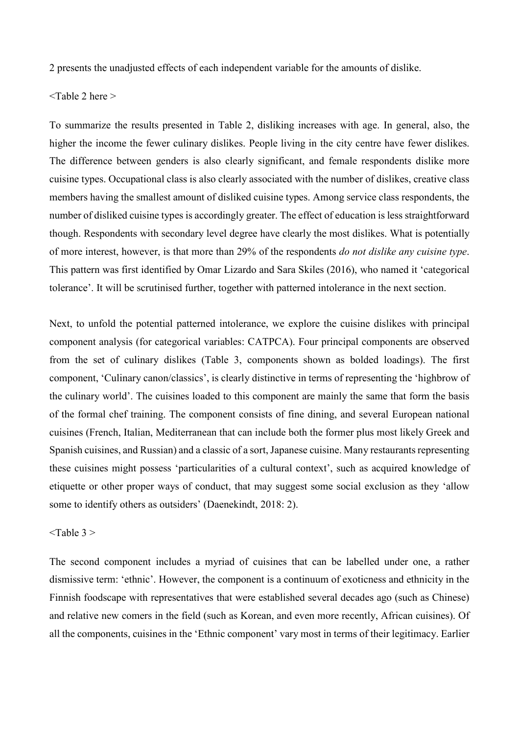2 presents the unadjusted effects of each independent variable for the amounts of dislike.

<Table 2 here >

To summarize the results presented in Table 2, disliking increases with age. In general, also, the higher the income the fewer culinary dislikes. People living in the city centre have fewer dislikes. The difference between genders is also clearly significant, and female respondents dislike more cuisine types. Occupational class is also clearly associated with the number of dislikes, creative class members having the smallest amount of disliked cuisine types. Among service class respondents, the number of disliked cuisine types is accordingly greater. The effect of education is less straightforward though. Respondents with secondary level degree have clearly the most dislikes. What is potentially of more interest, however, is that more than 29% of the respondents *do not dislike any cuisine type*. This pattern was first identified by Omar Lizardo and Sara Skiles (2016), who named it 'categorical tolerance'. It will be scrutinised further, together with patterned intolerance in the next section.

Next, to unfold the potential patterned intolerance, we explore the cuisine dislikes with principal component analysis (for categorical variables: CATPCA). Four principal components are observed from the set of culinary dislikes (Table 3, components shown as bolded loadings). The first component, 'Culinary canon/classics', is clearly distinctive in terms of representing the 'highbrow of the culinary world'. The cuisines loaded to this component are mainly the same that form the basis of the formal chef training. The component consists of fine dining, and several European national cuisines (French, Italian, Mediterranean that can include both the former plus most likely Greek and Spanish cuisines, and Russian) and a classic of a sort, Japanese cuisine. Many restaurants representing these cuisines might possess 'particularities of a cultural context', such as acquired knowledge of etiquette or other proper ways of conduct, that may suggest some social exclusion as they 'allow some to identify others as outsiders' (Daenekindt, 2018: 2).

## $\langle$ Table 3  $>$

The second component includes a myriad of cuisines that can be labelled under one, a rather dismissive term: 'ethnic'. However, the component is a continuum of exoticness and ethnicity in the Finnish foodscape with representatives that were established several decades ago (such as Chinese) and relative new comers in the field (such as Korean, and even more recently, African cuisines). Of all the components, cuisines in the 'Ethnic component' vary most in terms of their legitimacy. Earlier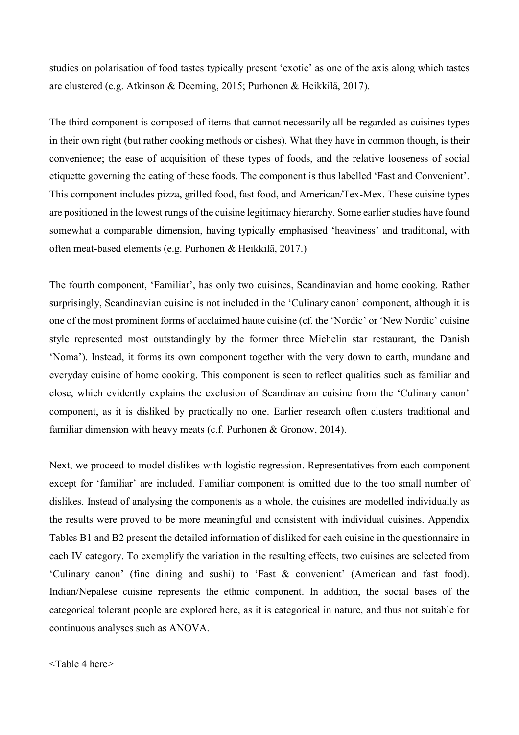studies on polarisation of food tastes typically present 'exotic' as one of the axis along which tastes are clustered (e.g. Atkinson & Deeming, 2015; Purhonen & Heikkilä, 2017).

The third component is composed of items that cannot necessarily all be regarded as cuisines types in their own right (but rather cooking methods or dishes). What they have in common though, is their convenience; the ease of acquisition of these types of foods, and the relative looseness of social etiquette governing the eating of these foods. The component is thus labelled 'Fast and Convenient'. This component includes pizza, grilled food, fast food, and American/Tex-Mex. These cuisine types are positioned in the lowest rungs of the cuisine legitimacy hierarchy. Some earlier studies have found somewhat a comparable dimension, having typically emphasised 'heaviness' and traditional, with often meat-based elements (e.g. Purhonen & Heikkilä, 2017.)

The fourth component, 'Familiar', has only two cuisines, Scandinavian and home cooking. Rather surprisingly, Scandinavian cuisine is not included in the 'Culinary canon' component, although it is one of the most prominent forms of acclaimed haute cuisine (cf. the 'Nordic' or 'New Nordic' cuisine style represented most outstandingly by the former three Michelin star restaurant, the Danish 'Noma'). Instead, it forms its own component together with the very down to earth, mundane and everyday cuisine of home cooking. This component is seen to reflect qualities such as familiar and close, which evidently explains the exclusion of Scandinavian cuisine from the 'Culinary canon' component, as it is disliked by practically no one. Earlier research often clusters traditional and familiar dimension with heavy meats (c.f. Purhonen & Gronow, 2014).

Next, we proceed to model dislikes with logistic regression. Representatives from each component except for 'familiar' are included. Familiar component is omitted due to the too small number of dislikes. Instead of analysing the components as a whole, the cuisines are modelled individually as the results were proved to be more meaningful and consistent with individual cuisines. Appendix Tables B1 and B2 present the detailed information of disliked for each cuisine in the questionnaire in each IV category. To exemplify the variation in the resulting effects, two cuisines are selected from 'Culinary canon' (fine dining and sushi) to 'Fast & convenient' (American and fast food). Indian/Nepalese cuisine represents the ethnic component. In addition, the social bases of the categorical tolerant people are explored here, as it is categorical in nature, and thus not suitable for continuous analyses such as ANOVA.

<Table 4 here>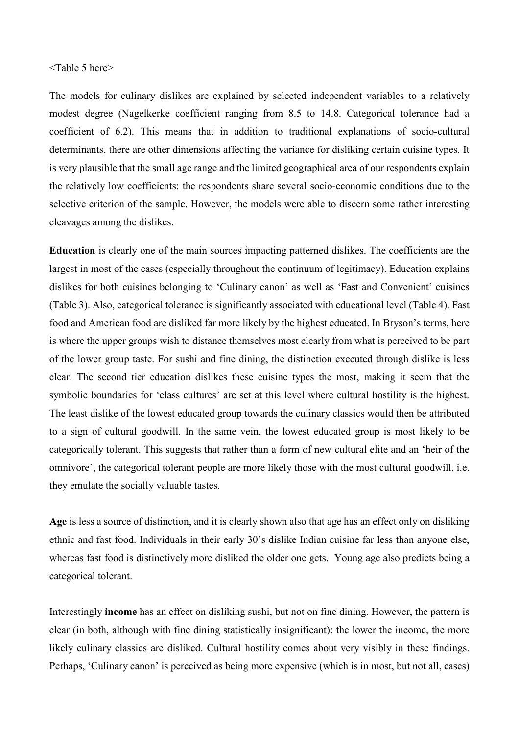### <Table 5 here>

The models for culinary dislikes are explained by selected independent variables to a relatively modest degree (Nagelkerke coefficient ranging from 8.5 to 14.8. Categorical tolerance had a coefficient of 6.2). This means that in addition to traditional explanations of socio-cultural determinants, there are other dimensions affecting the variance for disliking certain cuisine types. It is very plausible that the small age range and the limited geographical area of our respondents explain the relatively low coefficients: the respondents share several socio-economic conditions due to the selective criterion of the sample. However, the models were able to discern some rather interesting cleavages among the dislikes.

**Education** is clearly one of the main sources impacting patterned dislikes. The coefficients are the largest in most of the cases (especially throughout the continuum of legitimacy). Education explains dislikes for both cuisines belonging to 'Culinary canon' as well as 'Fast and Convenient' cuisines (Table 3). Also, categorical tolerance is significantly associated with educational level (Table 4). Fast food and American food are disliked far more likely by the highest educated. In Bryson's terms, here is where the upper groups wish to distance themselves most clearly from what is perceived to be part of the lower group taste. For sushi and fine dining, the distinction executed through dislike is less clear. The second tier education dislikes these cuisine types the most, making it seem that the symbolic boundaries for 'class cultures' are set at this level where cultural hostility is the highest. The least dislike of the lowest educated group towards the culinary classics would then be attributed to a sign of cultural goodwill. In the same vein, the lowest educated group is most likely to be categorically tolerant. This suggests that rather than a form of new cultural elite and an 'heir of the omnivore', the categorical tolerant people are more likely those with the most cultural goodwill, i.e. they emulate the socially valuable tastes.

**Age** is less a source of distinction, and it is clearly shown also that age has an effect only on disliking ethnic and fast food. Individuals in their early 30's dislike Indian cuisine far less than anyone else, whereas fast food is distinctively more disliked the older one gets. Young age also predicts being a categorical tolerant.

Interestingly **income** has an effect on disliking sushi, but not on fine dining. However, the pattern is clear (in both, although with fine dining statistically insignificant): the lower the income, the more likely culinary classics are disliked. Cultural hostility comes about very visibly in these findings. Perhaps, 'Culinary canon' is perceived as being more expensive (which is in most, but not all, cases)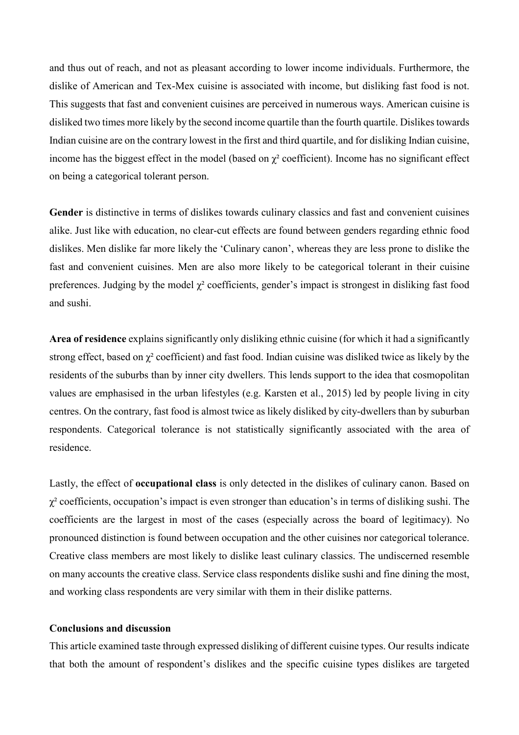and thus out of reach, and not as pleasant according to lower income individuals. Furthermore, the dislike of American and Tex-Mex cuisine is associated with income, but disliking fast food is not. This suggests that fast and convenient cuisines are perceived in numerous ways. American cuisine is disliked two times more likely by the second income quartile than the fourth quartile. Dislikes towards Indian cuisine are on the contrary lowest in the first and third quartile, and for disliking Indian cuisine, income has the biggest effect in the model (based on  $\chi^2$  coefficient). Income has no significant effect on being a categorical tolerant person.

**Gender** is distinctive in terms of dislikes towards culinary classics and fast and convenient cuisines alike. Just like with education, no clear-cut effects are found between genders regarding ethnic food dislikes. Men dislike far more likely the 'Culinary canon', whereas they are less prone to dislike the fast and convenient cuisines. Men are also more likely to be categorical tolerant in their cuisine preferences. Judging by the model  $\chi^2$  coefficients, gender's impact is strongest in disliking fast food and sushi.

**Area of residence** explains significantly only disliking ethnic cuisine (for which it had a significantly strong effect, based on  $\chi^2$  coefficient) and fast food. Indian cuisine was disliked twice as likely by the residents of the suburbs than by inner city dwellers. This lends support to the idea that cosmopolitan values are emphasised in the urban lifestyles (e.g. Karsten et al., 2015) led by people living in city centres. On the contrary, fast food is almost twice as likely disliked by city-dwellers than by suburban respondents. Categorical tolerance is not statistically significantly associated with the area of residence.

Lastly, the effect of **occupational class** is only detected in the dislikes of culinary canon. Based on  $\chi^2$  coefficients, occupation's impact is even stronger than education's in terms of disliking sushi. The coefficients are the largest in most of the cases (especially across the board of legitimacy). No pronounced distinction is found between occupation and the other cuisines nor categorical tolerance. Creative class members are most likely to dislike least culinary classics. The undiscerned resemble on many accounts the creative class. Service class respondents dislike sushi and fine dining the most, and working class respondents are very similar with them in their dislike patterns.

## **Conclusions and discussion**

This article examined taste through expressed disliking of different cuisine types. Our results indicate that both the amount of respondent's dislikes and the specific cuisine types dislikes are targeted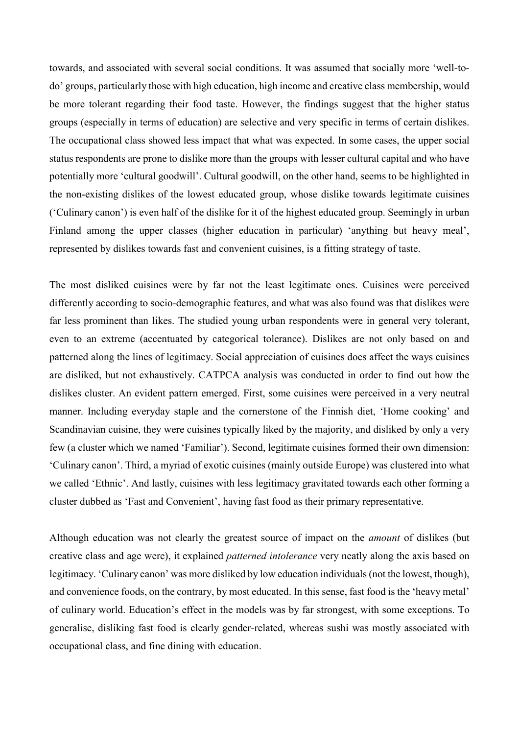towards, and associated with several social conditions. It was assumed that socially more 'well-todo' groups, particularly those with high education, high income and creative class membership, would be more tolerant regarding their food taste. However, the findings suggest that the higher status groups (especially in terms of education) are selective and very specific in terms of certain dislikes. The occupational class showed less impact that what was expected. In some cases, the upper social status respondents are prone to dislike more than the groups with lesser cultural capital and who have potentially more 'cultural goodwill'. Cultural goodwill, on the other hand, seems to be highlighted in the non-existing dislikes of the lowest educated group, whose dislike towards legitimate cuisines ('Culinary canon') is even half of the dislike for it of the highest educated group. Seemingly in urban Finland among the upper classes (higher education in particular) 'anything but heavy meal', represented by dislikes towards fast and convenient cuisines, is a fitting strategy of taste.

The most disliked cuisines were by far not the least legitimate ones. Cuisines were perceived differently according to socio-demographic features, and what was also found was that dislikes were far less prominent than likes. The studied young urban respondents were in general very tolerant, even to an extreme (accentuated by categorical tolerance). Dislikes are not only based on and patterned along the lines of legitimacy. Social appreciation of cuisines does affect the ways cuisines are disliked, but not exhaustively. CATPCA analysis was conducted in order to find out how the dislikes cluster. An evident pattern emerged. First, some cuisines were perceived in a very neutral manner. Including everyday staple and the cornerstone of the Finnish diet, 'Home cooking' and Scandinavian cuisine, they were cuisines typically liked by the majority, and disliked by only a very few (a cluster which we named 'Familiar'). Second, legitimate cuisines formed their own dimension: 'Culinary canon'. Third, a myriad of exotic cuisines (mainly outside Europe) was clustered into what we called 'Ethnic'. And lastly, cuisines with less legitimacy gravitated towards each other forming a cluster dubbed as 'Fast and Convenient', having fast food as their primary representative.

Although education was not clearly the greatest source of impact on the *amount* of dislikes (but creative class and age were), it explained *patterned intolerance* very neatly along the axis based on legitimacy. 'Culinary canon' was more disliked by low education individuals (not the lowest, though), and convenience foods, on the contrary, by most educated. In this sense, fast food is the 'heavy metal' of culinary world. Education's effect in the models was by far strongest, with some exceptions. To generalise, disliking fast food is clearly gender-related, whereas sushi was mostly associated with occupational class, and fine dining with education.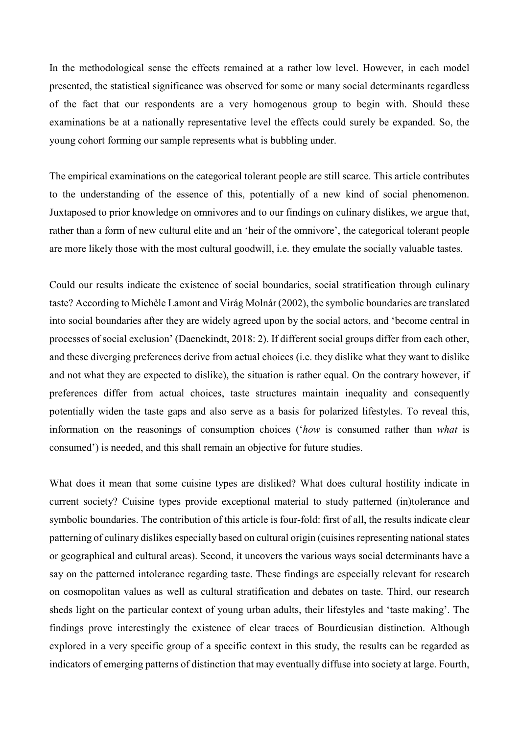In the methodological sense the effects remained at a rather low level. However, in each model presented, the statistical significance was observed for some or many social determinants regardless of the fact that our respondents are a very homogenous group to begin with. Should these examinations be at a nationally representative level the effects could surely be expanded. So, the young cohort forming our sample represents what is bubbling under.

The empirical examinations on the categorical tolerant people are still scarce. This article contributes to the understanding of the essence of this, potentially of a new kind of social phenomenon. Juxtaposed to prior knowledge on omnivores and to our findings on culinary dislikes, we argue that, rather than a form of new cultural elite and an 'heir of the omnivore', the categorical tolerant people are more likely those with the most cultural goodwill, i.e. they emulate the socially valuable tastes.

Could our results indicate the existence of social boundaries, social stratification through culinary taste? According to Michèle Lamont and Virág Molnár (2002), the symbolic boundaries are translated into social boundaries after they are widely agreed upon by the social actors, and 'become central in processes of social exclusion' (Daenekindt, 2018: 2). If different social groups differ from each other, and these diverging preferences derive from actual choices (i.e. they dislike what they want to dislike and not what they are expected to dislike), the situation is rather equal. On the contrary however, if preferences differ from actual choices, taste structures maintain inequality and consequently potentially widen the taste gaps and also serve as a basis for polarized lifestyles. To reveal this, information on the reasonings of consumption choices ('*how* is consumed rather than *what* is consumed') is needed, and this shall remain an objective for future studies.

What does it mean that some cuisine types are disliked? What does cultural hostility indicate in current society? Cuisine types provide exceptional material to study patterned (in)tolerance and symbolic boundaries. The contribution of this article is four-fold: first of all, the results indicate clear patterning of culinary dislikes especially based on cultural origin (cuisines representing national states or geographical and cultural areas). Second, it uncovers the various ways social determinants have a say on the patterned intolerance regarding taste. These findings are especially relevant for research on cosmopolitan values as well as cultural stratification and debates on taste. Third, our research sheds light on the particular context of young urban adults, their lifestyles and 'taste making'. The findings prove interestingly the existence of clear traces of Bourdieusian distinction. Although explored in a very specific group of a specific context in this study, the results can be regarded as indicators of emerging patterns of distinction that may eventually diffuse into society at large. Fourth,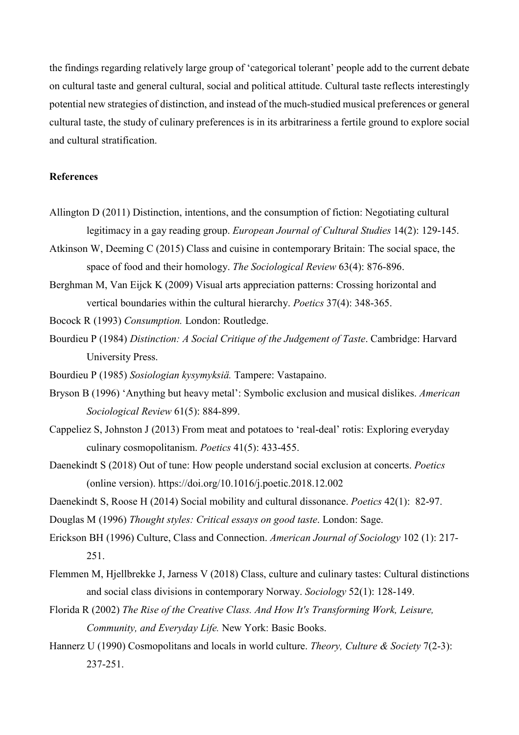the findings regarding relatively large group of 'categorical tolerant' people add to the current debate on cultural taste and general cultural, social and political attitude. Cultural taste reflects interestingly potential new strategies of distinction, and instead of the much-studied musical preferences or general cultural taste, the study of culinary preferences is in its arbitrariness a fertile ground to explore social and cultural stratification.

## **References**

- Allington D (2011) Distinction, intentions, and the consumption of fiction: Negotiating cultural legitimacy in a gay reading group. *European Journal of Cultural Studies* 14(2): 129-145.
- Atkinson W, Deeming C (2015) Class and cuisine in contemporary Britain: The social space, the space of food and their homology. *The Sociological Review* 63(4): 876-896.
- Berghman M, Van Eijck K (2009) Visual arts appreciation patterns: Crossing horizontal and vertical boundaries within the cultural hierarchy. *Poetics* 37(4): 348-365.
- Bocock R (1993) *Consumption.* London: Routledge.
- Bourdieu P (1984) *Distinction: A Social Critique of the Judgement of Taste*. Cambridge: Harvard University Press.
- Bourdieu P (1985) *Sosiologian kysymyksiä.* Tampere: Vastapaino.
- Bryson B (1996) 'Anything but heavy metal': Symbolic exclusion and musical dislikes. *American Sociological Review* 61(5): 884-899.
- Cappeliez S, Johnston J (2013) From meat and potatoes to 'real-deal' rotis: Exploring everyday culinary cosmopolitanism. *Poetics* 41(5): 433-455.
- Daenekindt S (2018) Out of tune: How people understand social exclusion at concerts. *Poetics* (online version). https://doi.org/10.1016/j.poetic.2018.12.002
- Daenekindt S, Roose H (2014) Social mobility and cultural dissonance. *Poetics* 42(1): 82-97.
- Douglas M (1996) *Thought styles: Critical essays on good taste*. London: Sage.
- Erickson BH (1996) Culture, Class and Connection. *American Journal of Sociology* 102 (1): 217- 251.
- Flemmen M, Hjellbrekke J, Jarness V (2018) Class, culture and culinary tastes: Cultural distinctions and social class divisions in contemporary Norway. *Sociology* 52(1): 128-149.
- Florida R (2002) *The Rise of the Creative Class. And How It's Transforming Work, Leisure, Community, and Everyday Life.* New York: Basic Books.
- Hannerz U (1990) Cosmopolitans and locals in world culture. *Theory, Culture & Society* 7(2-3): 237-251.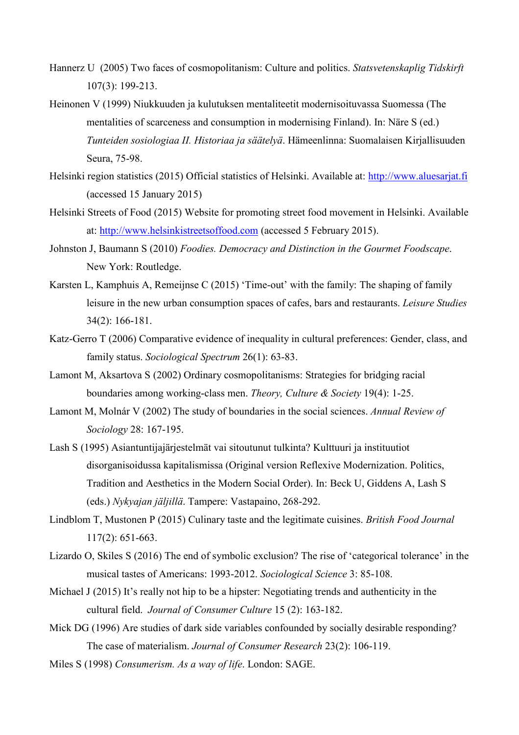- Hannerz U (2005) Two faces of cosmopolitanism: Culture and politics. *Statsvetenskaplig Tidskirft* 107(3): 199-213.
- Heinonen V (1999) Niukkuuden ja kulutuksen mentaliteetit modernisoituvassa Suomessa (The mentalities of scarceness and consumption in modernising Finland). In: Näre S (ed.) *Tunteiden sosiologiaa II. Historiaa ja säätelyä*. Hämeenlinna: Suomalaisen Kirjallisuuden Seura, 75-98.
- Helsinki region statistics (2015) Official statistics of Helsinki. Available at: [http://www.aluesarjat.fi](http://www.aluesarjat.fi/) (accessed 15 January 2015)
- Helsinki Streets of Food (2015) Website for promoting street food movement in Helsinki. Available at: [http://www.helsinkistreetsoffood.com](http://www.helsinkistreetsoffood.com/) (accessed 5 February 2015).
- Johnston J, Baumann S (2010) *Foodies. Democracy and Distinction in the Gourmet Foodscape*. New York: Routledge.
- Karsten L, Kamphuis A, Remeijnse C (2015) 'Time-out' with the family: The shaping of family leisure in the new urban consumption spaces of cafes, bars and restaurants. *Leisure Studies* 34(2): 166-181.
- Katz-Gerro T (2006) Comparative evidence of inequality in cultural preferences: Gender, class, and family status. *Sociological Spectrum* 26(1): 63-83.
- Lamont M, Aksartova S (2002) Ordinary cosmopolitanisms: Strategies for bridging racial boundaries among working-class men. *Theory, Culture & Society* 19(4): 1-25.
- Lamont M, Molnár V (2002) The study of boundaries in the social sciences. *Annual Review of Sociology* 28: 167-195.
- Lash S (1995) Asiantuntijajärjestelmät vai sitoutunut tulkinta? Kulttuuri ja instituutiot disorganisoidussa kapitalismissa (Original version Reflexive Modernization. Politics, Tradition and Aesthetics in the Modern Social Order). In: Beck U, Giddens A, Lash S (eds.) *Nykyajan jäljillä*. Tampere: Vastapaino, 268-292.
- Lindblom T, Mustonen P (2015) Culinary taste and the legitimate cuisines. *British Food Journal* 117(2): 651-663.
- Lizardo O, Skiles S (2016) The end of symbolic exclusion? The rise of 'categorical tolerance' in the musical tastes of Americans: 1993-2012. *Sociological Science* 3: 85-108.
- Michael J (2015) It's really not hip to be a hipster: Negotiating trends and authenticity in the cultural field. *Journal of Consumer Culture* 15 (2): 163-182.
- Mick DG (1996) Are studies of dark side variables confounded by socially desirable responding? The case of materialism. *Journal of Consumer Research* 23(2): 106-119.
- Miles S (1998) *Consumerism. As a way of life*. London: SAGE.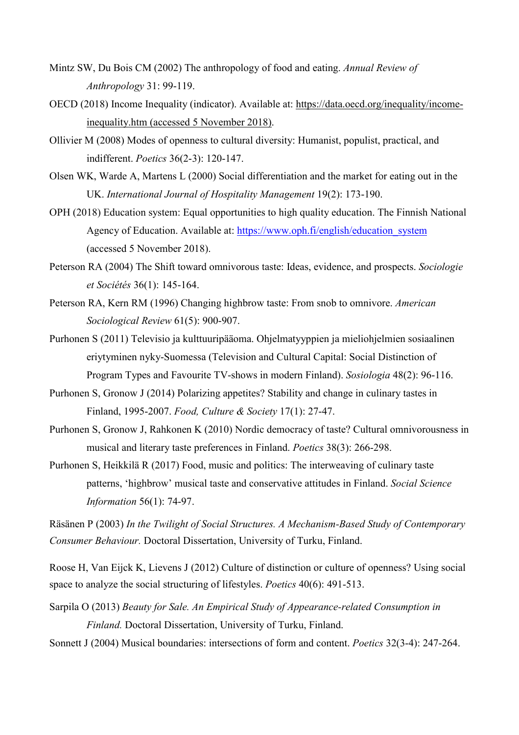- Mintz SW, Du Bois CM (2002) The anthropology of food and eating. *Annual Review of Anthropology* 31: 99-119.
- OECD (2018) Income Inequality (indicator). Available at: [https://data.oecd.org/inequality/income](https://data.oecd.org/inequality/income-inequality.htm)[inequality.htm](https://data.oecd.org/inequality/income-inequality.htm) (accessed 5 November 2018).
- Ollivier M (2008) Modes of openness to cultural diversity: Humanist, populist, practical, and indifferent. *Poetics* 36(2-3): 120-147.
- Olsen WK, Warde A, Martens L (2000) Social differentiation and the market for eating out in the UK. *International Journal of Hospitality Management* 19(2): 173-190.
- OPH (2018) Education system: Equal opportunities to high quality education. The Finnish National Agency of Education. Available at: [https://www.oph.fi/english/education\\_system](https://www.oph.fi/english/education_system) (accessed 5 November 2018).
- Peterson RA (2004) The Shift toward omnivorous taste: Ideas, evidence, and prospects. *Sociologie et Sociétés* 36(1): 145-164.
- Peterson RA, Kern RM (1996) Changing highbrow taste: From snob to omnivore. *American Sociological Review* 61(5): 900-907.
- Purhonen S (2011) Televisio ja kulttuuripääoma. Ohjelmatyyppien ja mieliohjelmien sosiaalinen eriytyminen nyky-Suomessa (Television and Cultural Capital: Social Distinction of Program Types and Favourite TV-shows in modern Finland). *Sosiologia* 48(2): 96-116.
- Purhonen S, Gronow J (2014) Polarizing appetites? Stability and change in culinary tastes in Finland, 1995-2007. *Food, Culture & Society* 17(1): 27-47.
- Purhonen S, Gronow J, Rahkonen K (2010) Nordic democracy of taste? Cultural omnivorousness in musical and literary taste preferences in Finland. *Poetics* 38(3): 266-298.
- Purhonen S, Heikkilä R (2017) Food, music and politics: The interweaving of culinary taste patterns, 'highbrow' musical taste and conservative attitudes in Finland. *Social Science Information* 56(1): 74-97.

Räsänen P (2003) *In the Twilight of Social Structures. A Mechanism-Based Study of Contemporary Consumer Behaviour.* Doctoral Dissertation, University of Turku, Finland.

Roose H, Van Eijck K, Lievens J (2012) Culture of distinction or culture of openness? Using social space to analyze the social structuring of lifestyles. *Poetics* 40(6): 491-513.

Sarpila O (2013) *Beauty for Sale. An Empirical Study of Appearance-related Consumption in Finland.* Doctoral Dissertation, University of Turku, Finland.

Sonnett J (2004) Musical boundaries: intersections of form and content. *Poetics* 32(3-4): 247-264.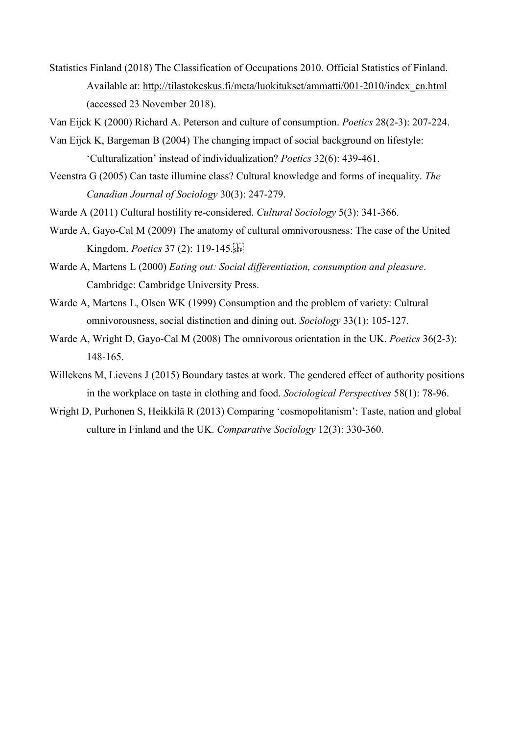Statistics Finland (2018) The Classification of Occupations 2010. Official Statistics of Finland. Available at: [http://tilastokeskus.fi/meta/luokitukset/ammatti/001-2010/index\\_en.html](http://tilastokeskus.fi/meta/luokitukset/ammatti/001-2010/index_en.html) (accessed 23 November 2018).

Van Eijck K (2000) Richard A. Peterson and culture of consumption. *Poetics* 28(2-3): 207-224.

- Van Eijck K, Bargeman B (2004) The changing impact of social background on lifestyle: 'Culturalization' instead of individualization? *Poetics* 32(6): 439-461.
- Veenstra G (2005) Can taste illumine class? Cultural knowledge and forms of inequality. *The Canadian Journal of Sociology* 30(3): 247-279.
- Warde A (2011) Cultural hostility re-considered. *Cultural Sociology* 5(3): 341-366.
- Warde A, Gayo-Cal M (2009) The anatomy of cultural omnivorousness: The case of the United Kingdom. *Poetics* 37 (2): 119-145.
- Warde A, Martens L (2000) *Eating out: Social differentiation, consumption and pleasure*. Cambridge: Cambridge University Press.
- Warde A, Martens L, Olsen WK (1999) Consumption and the problem of variety: Cultural omnivorousness, social distinction and dining out. *Sociology* 33(1): 105-127.
- Warde A, Wright D, Gayo-Cal M (2008) The omnivorous orientation in the UK. *Poetics* 36(2-3): 148-165.
- Willekens M, Lievens J (2015) Boundary tastes at work. The gendered effect of authority positions in the workplace on taste in clothing and food. *Sociological Perspectives* 58(1): 78-96.
- Wright D, Purhonen S, Heikkilä R (2013) Comparing 'cosmopolitanism': Taste, nation and global culture in Finland and the UK. *Comparative Sociology* 12(3): 330-360.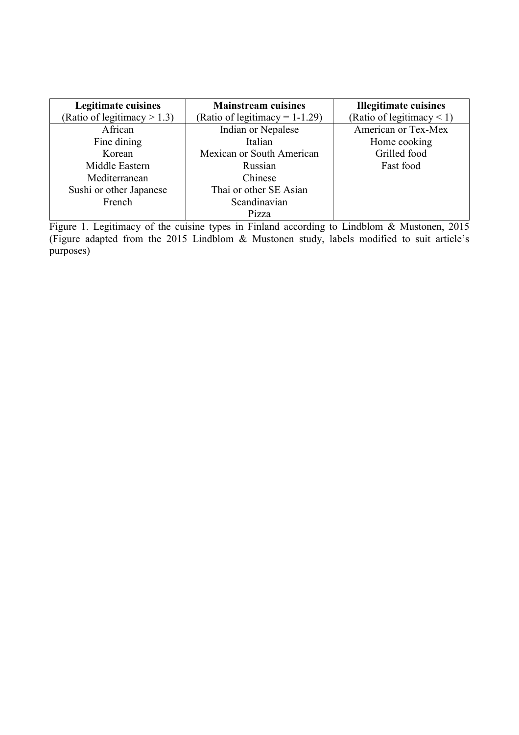| <b>Legitimate cuisines</b>     | <b>Mainstream cuisines</b>        | <b>Illegitimate cuisines</b>   |
|--------------------------------|-----------------------------------|--------------------------------|
| (Ratio of legitimacy $> 1.3$ ) | (Ratio of legitimacy = $1-1.29$ ) | (Ratio of legitimacy $\leq$ 1) |
| African                        | Indian or Nepalese                | American or Tex-Mex            |
| Fine dining                    | Italian                           | Home cooking                   |
| Korean                         | Mexican or South American         | Grilled food                   |
| Middle Eastern                 | Russian                           | Fast food                      |
| Mediterranean                  | Chinese                           |                                |
| Sushi or other Japanese        | Thai or other SE Asian            |                                |
| French                         | Scandinavian                      |                                |
|                                | Pizza                             |                                |

Figure 1. Legitimacy of the cuisine types in Finland according to Lindblom & Mustonen, 2015 (Figure adapted from the 2015 Lindblom & Mustonen study, labels modified to suit article's purposes)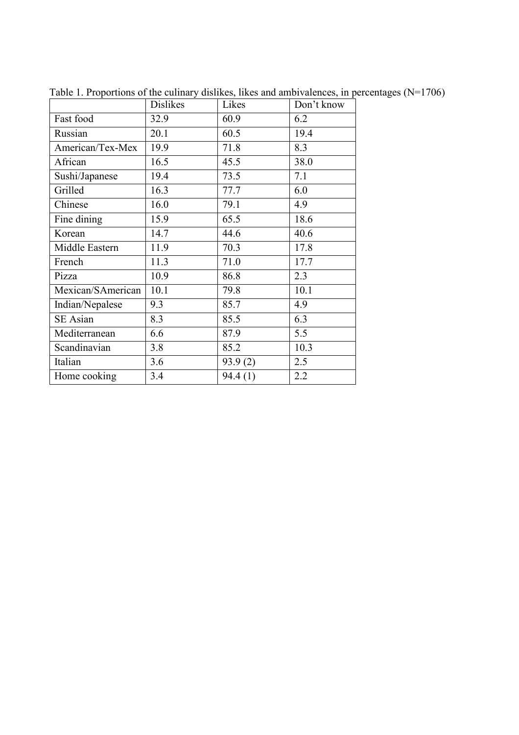|                   | <b>Dislikes</b> | Likes   | Don't know |
|-------------------|-----------------|---------|------------|
| Fast food         | 32.9            | 60.9    | 6.2        |
| Russian           | 20.1            | 60.5    | 19.4       |
| American/Tex-Mex  | 19.9            | 71.8    | 8.3        |
| African           | 16.5            | 45.5    | 38.0       |
| Sushi/Japanese    | 19.4            | 73.5    | 7.1        |
| Grilled           | 16.3            | 77.7    | 6.0        |
| Chinese           | 16.0            | 79.1    | 4.9        |
| Fine dining       | 15.9            | 65.5    | 18.6       |
| Korean            | 14.7            | 44.6    | 40.6       |
| Middle Eastern    | 11.9            | 70.3    | 17.8       |
| French            | 11.3            | 71.0    | 17.7       |
| Pizza             | 10.9            | 86.8    | 2.3        |
| Mexican/SAmerican | 10.1            | 79.8    | 10.1       |
| Indian/Nepalese   | 9.3             | 85.7    | 4.9        |
| <b>SE</b> Asian   | 8.3             | 85.5    | 6.3        |
| Mediterranean     | 6.6             | 87.9    | 5.5        |
| Scandinavian      | 3.8             | 85.2    | 10.3       |
| Italian           | 3.6             | 93.9(2) | 2.5        |
| Home cooking      | 3.4             | 94.4(1) | 2.2        |

Table 1. Proportions of the culinary dislikes, likes and ambivalences, in percentages (N=1706)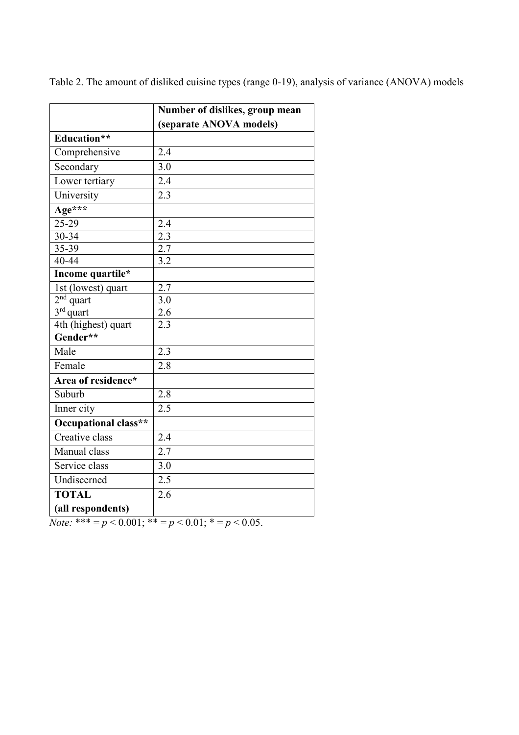|                      | Number of dislikes, group mean |
|----------------------|--------------------------------|
|                      | (separate ANOVA models)        |
| Education**          |                                |
| Comprehensive        | 2.4                            |
| Secondary            | 3.0                            |
| Lower tertiary       | 2.4                            |
| University           | 2.3                            |
| Age***               |                                |
| 25-29                | 2.4                            |
| $30 - 34$            | 2.3                            |
| 35-39                | 2.7                            |
| 40-44                | 3.2                            |
| Income quartile*     |                                |
| 1st (lowest) quart   | 2.7                            |
| $2nd$ quart          | 3.0                            |
| $3rd$ quart          | 2.6                            |
| 4th (highest) quart  | 2.3                            |
| Gender**             |                                |
| Male                 | 2.3                            |
| Female               | 2.8                            |
| Area of residence*   |                                |
| Suburb               | 2.8                            |
| Inner city           | 2.5                            |
| Occupational class** |                                |
| Creative class       | 2.4                            |
| Manual class         | 2.7                            |
| Service class        | 3.0                            |
| Undiscerned          | $\overline{2.5}$               |
| <b>TOTAL</b>         | 2.6                            |
| (all respondents)    |                                |

Table 2. The amount of disliked cuisine types (range 0-19), analysis of variance (ANOVA) models

*Note:* \*\*\* =  $p < 0.001$ ; \*\* =  $p < 0.01$ ; \* =  $p < 0.05$ .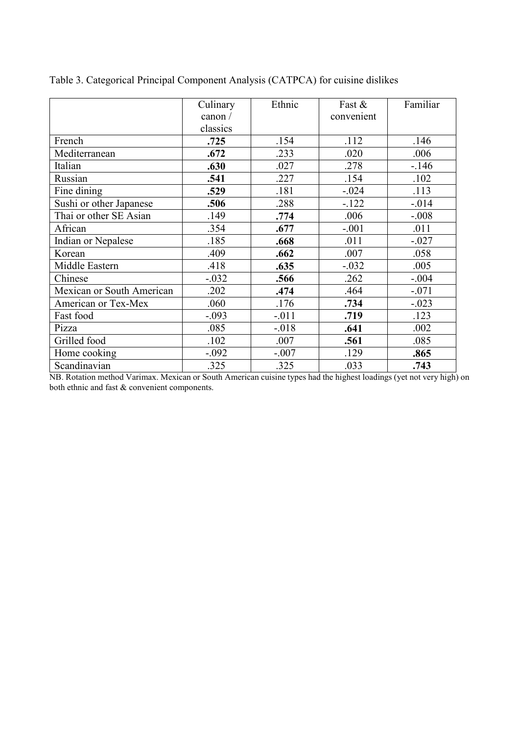|                           | Culinary | Ethnic  | Fast &     | Familiar |
|---------------------------|----------|---------|------------|----------|
|                           | canon /  |         | convenient |          |
|                           | classics |         |            |          |
| French                    | .725     | .154    | .112       | .146     |
| Mediterranean             | .672     | .233    | .020       | .006     |
| Italian                   | .630     | .027    | .278       | $-.146$  |
| Russian                   | .541     | .227    | .154       | .102     |
| Fine dining               | .529     | .181    | $-.024$    | .113     |
| Sushi or other Japanese   | .506     | .288    | $-122$     | $-.014$  |
| Thai or other SE Asian    | .149     | .774    | .006       | $-.008$  |
| African                   | .354     | .677    | $-.001$    | .011     |
| Indian or Nepalese        | .185     | .668    | .011       | $-.027$  |
| Korean                    | .409     | .662    | .007       | .058     |
| Middle Eastern            | .418     | .635    | $-.032$    | .005     |
| Chinese                   | $-.032$  | .566    | .262       | $-.004$  |
| Mexican or South American | .202     | .474    | .464       | $-.071$  |
| American or Tex-Mex       | .060     | .176    | .734       | $-.023$  |
| Fast food                 | $-.093$  | $-.011$ | .719       | .123     |
| Pizza                     | .085     | $-.018$ | .641       | .002     |
| Grilled food              | .102     | .007    | .561       | .085     |
| Home cooking              | $-.092$  | $-.007$ | .129       | .865     |
| Scandinavian              | .325     | .325    | .033       | .743     |

Table 3. Categorical Principal Component Analysis (CATPCA) for cuisine dislikes

NB. Rotation method Varimax. Mexican or South American cuisine types had the highest loadings (yet not very high) on both ethnic and fast & convenient components.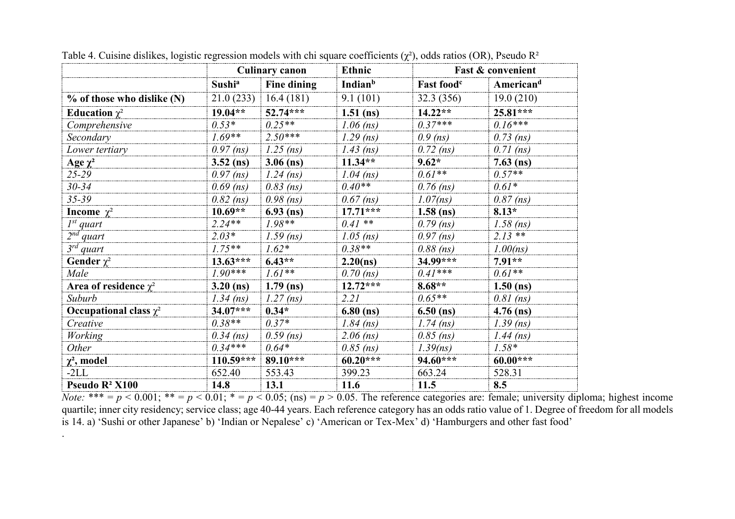|                             |                    | <b>Culinary canon</b> | <b>Ethnic</b>              |                        | <b>Fast &amp; convenient</b> |
|-----------------------------|--------------------|-----------------------|----------------------------|------------------------|------------------------------|
|                             | Sushi <sup>a</sup> | <b>Fine dining</b>    | <b>Indian</b> <sup>b</sup> | Fast food <sup>c</sup> | Americand                    |
| % of those who dislike (N)  | 21.0(233)          | 16.4(181)             | 9.1(101)                   | 32.3 (356)             | 19.0(210)                    |
| Education $\chi^2$          | $19.04**$          | $52.74***$            | $1.51$ (ns)                | $14.22**$              | $25.81***$                   |
| Comprehensive               | $0.53*$            | $0.25**$              | $1.06$ (ns)                | $0.37***$              | $0.16***$                    |
| Secondary                   | $1.69**$           | $2.50***$             | $1.29$ (ns)                | $0.9$ (ns)             | $0.73$ (ns)                  |
| Lower tertiary              | $0.97$ (ns)        | $1.25$ (ns)           | $1.43$ (ns)                | $0.72$ (ns)            | $0.71$ (ns)                  |
| Age $\chi^2$                | $3.52$ (ns)        | $3.06$ (ns)           | $11.34**$                  | $9.62*$                | $7.63$ (ns)                  |
| $25 - 29$                   | $0.97$ (ns)        | $1.24$ (ns)           | $1.04$ (ns)                | $0.61**$               | $0.57**$                     |
| $30 - 34$                   | $0.69$ (ns)        | $0.83$ (ns)           | $0.40**$                   | $0.76$ (ns)            | $0.61*$                      |
| $35 - 39$                   | $0.82$ (ns)        | $0.98$ (ns)           | $0.67$ (ns)                | $1.07$ (ns)            | $0.87$ (ns)                  |
| <b>Income</b> $\chi^2$      | $10.69**$          | $6.93$ (ns)           | $17.71***$                 | $1.58$ (ns)            | $8.13*$                      |
| $I^{st}$ quart              | $2.24**$           | $1.98**$              | $0.41$ **                  | $0.79$ (ns)            | $1.58$ (ns)                  |
| $2^{nd}$ quart              | $2.03*$            | $1.59$ (ns)           | $1.05$ (ns)                | $0.97$ (ns)            | $2.13**$                     |
| $3^{rd}$ quart              | $1.75***$          | $1.62*$               | $0.38**$                   | $0.88$ (ns)            | $1.00$ (ns)                  |
| Gender $\chi^2$             | $13.63***$         | $6.43**$              | 2.20(ns)                   | 34.99***               | $7.91**$                     |
| Male                        | $1.90***$          | $1.61**$              | $0.70$ (ns)                | $0.41***$              | $0.61**$                     |
| Area of residence $\chi^2$  | $3.20$ (ns)        | $1.79$ (ns)           | $12.72***$                 | $8.68**$               | $1.50$ (ns)                  |
| Suburb                      | $1.34$ (ns)        | $1.27$ (ns)           | 2.21                       | $0.65**$               | $0.81$ (ns)                  |
| Occupational class $\chi^2$ | $34.07***$         | $0.34*$               | $6.80$ (ns)                | $6.50$ (ns)            | $4.76$ (ns)                  |
| Creative                    | $0.38**$           | $0.37*$               | $1.84$ (ns)                | $1.74$ (ns)            | $1.39$ (ns)                  |
| <b>Working</b>              | $0.34$ (ns)        | $0.59$ (ns)           | $2.06$ (ns)                | $0.85$ (ns)            | $1.44$ (ns)                  |
| Other                       | $0.34***$          | $0.64*$               | $0.85$ (ns)                | 1.39(ns)               | $1.58*$                      |
| $\chi^2$ , model            | $110.59***$        | 89.10***              | $60.20***$                 | 94.60***               | $60.00***$                   |
| $-2LL$                      | 652.40             | 553.43                | 399.23                     | 663.24                 | 528.31                       |
| Pseudo R <sup>2</sup> X100  | 14.8               | 13.1                  | 11.6                       | 11.5                   | 8.5                          |

.

Table 4. Cuisine dislikes, logistic regression models with chi square coefficients  $(\chi^2)$ , odds ratios (OR), Pseudo R<sup>2</sup>

*Note:* \*\*\* =  $p$  < 0.001; \*\* =  $p$  < 0.01; \* =  $p$  < 0.05; (ns) =  $p$  > 0.05. The reference categories are: female; university diploma; highest income quartile; inner city residency; service class; age 40-44 years. Each reference category has an odds ratio value of 1. Degree of freedom for all models is 14. a) 'Sushi or other Japanese' b) 'Indian or Nepalese' c) 'American or Tex-Mex' d) 'Hamburgers and other fast food'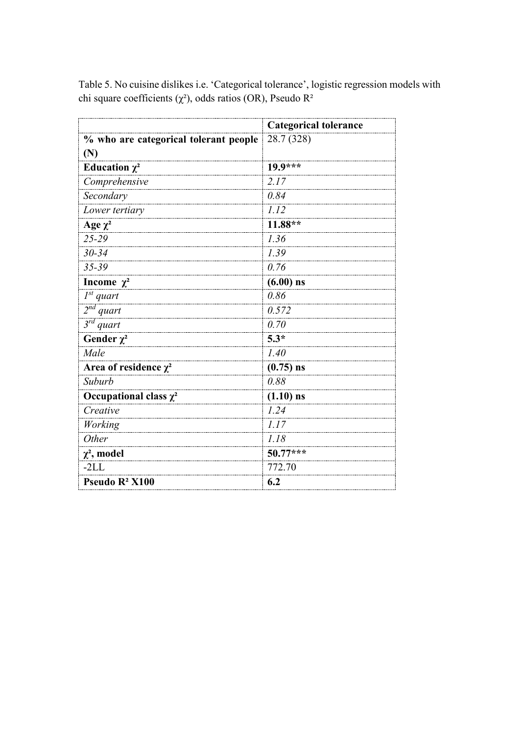|                                       | <b>Categorical tolerance</b> |
|---------------------------------------|------------------------------|
| % who are categorical tolerant people | 28.7 (328)                   |
| (N)                                   |                              |
| Education $\chi^2$                    | $19.9***$                    |
| Comprehensive                         | 2.17                         |
| Secondary                             | 0.84                         |
| Lower tertiary                        | 1.12                         |
| Age $\chi^2$                          | $11.88**$                    |
| 25-29                                 | 1.36                         |
| $30 - 34$                             | 1.39                         |
| 35-39                                 | 0.76                         |
| Income $\chi^2$                       | $(6.00)$ ns                  |
| $I^{st}$ quart                        | 0.86                         |
| $2nd$ quart                           | 0.572                        |
| $3^{rd}$ quart                        | 0.70                         |
| Gender $\chi^2$                       | $5.3*$                       |
| Male                                  | 1.40                         |
| Area of residence $\chi^2$            | $(0.75)$ ns                  |
| Suburb                                | 0.88                         |
| Occupational class $\chi^2$           | $(1.10)$ ns                  |
| Creative                              | 1.24                         |
| Working                               | 1.17                         |
| Other                                 | 1.18                         |
| $\chi^2$ , model                      | $50.77***$                   |
| $-2LL$                                | 772.70                       |
| Pseudo R <sup>2</sup> X100            | 6.2                          |

Table 5. No cuisine dislikes i.e. 'Categorical tolerance', logistic regression models with chi square coefficients ( $\chi^2$ ), odds ratios (OR), Pseudo R<sup>2</sup>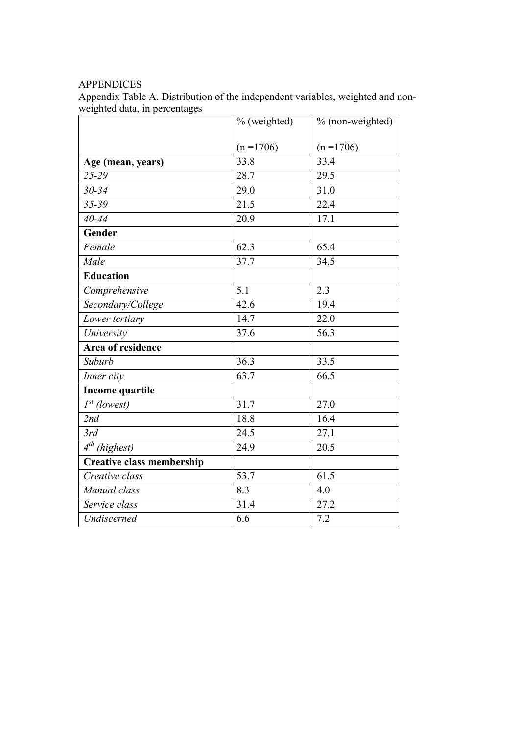# APPENDICES

Appendix Table A. Distribution of the independent variables, weighted and nonweighted data, in percentages

|                                  | % (weighted) | % (non-weighted)  |
|----------------------------------|--------------|-------------------|
|                                  |              |                   |
|                                  | $(n = 1706)$ | $(n = 1706)$      |
| Age (mean, years)                | 33.8         | 33.4              |
| 25-29                            | 28.7         | 29.5              |
| $30 - 34$                        | 29.0         | 31.0              |
| 35-39                            | 21.5         | 22.4              |
| $40 - 44$                        | 20.9         | 17.1              |
| Gender                           |              |                   |
| Female                           | 62.3         | 65.4              |
| Male                             | 37.7         | 34.5              |
| <b>Education</b>                 |              |                   |
| Comprehensive                    | 5.1          | 2.3               |
| Secondary/College                | 42.6         | 19.4              |
| Lower tertiary                   | 14.7         | 22.0              |
| University                       | 37.6         | 56.3              |
| Area of residence                |              |                   |
| Suburb                           | 36.3         | 33.5              |
| Inner city                       | 63.7         | 66.5              |
| <b>Income quartile</b>           |              |                   |
| $I^{st}$ (lowest)                | 31.7         | $\overline{27.0}$ |
| 2nd                              | 18.8         | 16.4              |
| 3rd                              | 24.5         | 27.1              |
| $4^{th}$ (highest)               | 24.9         | 20.5              |
| <b>Creative class membership</b> |              |                   |
| Creative class                   | 53.7         | 61.5              |
| Manual class                     | 8.3          | 4.0               |
| Service class                    | 31.4         | 27.2              |
| Undiscerned                      | 6.6          | 7.2               |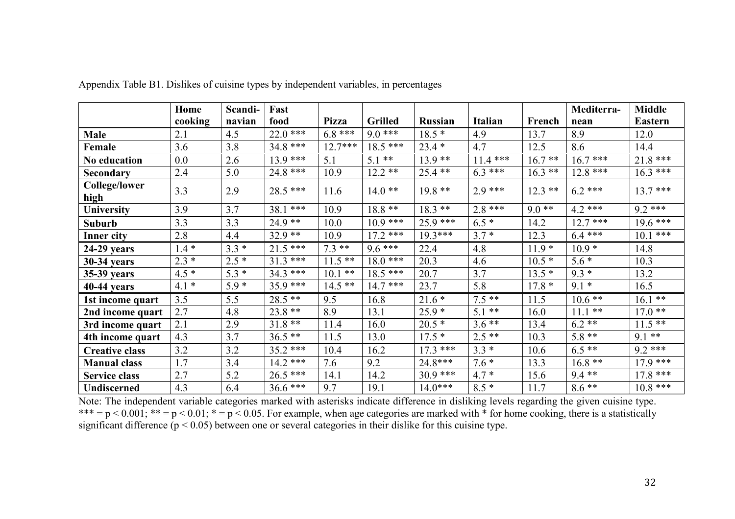|                              | Home    | Scandi- | Fast       |              |                |                |                |           | Mediterra- | <b>Middle</b>  |
|------------------------------|---------|---------|------------|--------------|----------------|----------------|----------------|-----------|------------|----------------|
|                              | cooking | navian  | food       | <b>Pizza</b> | <b>Grilled</b> | <b>Russian</b> | <b>Italian</b> | French    | nean       | <b>Eastern</b> |
| <b>Male</b>                  | 2.1     | 4.5     | $22.0$ *** | $6.8***$     | $9.0***$       | $18.5*$        | 4.9            | 13.7      | 8.9        | 12.0           |
| Female                       | 3.6     | 3.8     | $34.8***$  | $12.7***$    | $18.5***$      | $23.4*$        | 4.7            | 12.5      | 8.6        | 14.4           |
| No education                 | $0.0\,$ | 2.6     | $13.9***$  | 5.1          | $5.1$ **       | $13.9**$       | $11.4***$      | $16.7**$  | $16.7$ *** | $21.8***$      |
| Secondary                    | 2.4     | 5.0     | $24.8***$  | 10.9         | $12.2**$       | $25.4$ **      | $6.3***$       | $16.3$ ** | $12.8***$  | $16.3***$      |
| <b>College/lower</b><br>high | 3.3     | 2.9     | $28.5***$  | 11.6         | $14.0**$       | $19.8**$       | $2.9***$       | $12.3$ ** | $6.2$ ***  | $13.7***$      |
| University                   | 3.9     | 3.7     | $38.1***$  | 10.9         | $18.8**$       | $18.3$ **      | $2.8***$       | $9.0**$   | $4.2$ ***  | $9.2$ ***      |
| <b>Suburb</b>                | 3.3     | 3.3     | $24.9**$   | 10.0         | $10.9***$      | $25.9$ ***     | $6.5*$         | 14.2      | $12.7***$  | $19.6***$      |
| <b>Inner city</b>            | 2.8     | 4.4     | $32.9**$   | 10.9         | $17.2$ ***     | $19.3***$      | $3.7*$         | 12.3      | $6.4***$   | $10.1$ ***     |
| $24-29$ years                | $1.4*$  | $3.3*$  | $21.5***$  | $7.3**$      | $9.6***$       | 22.4           | 4.8            | $11.9*$   | $10.9*$    | 14.8           |
| <b>30-34 years</b>           | $2.3*$  | $2.5*$  | $31.3***$  | $11.5$ **    | $18.0***$      | 20.3           | 4.6            | $10.5*$   | $5.6*$     | 10.3           |
| 35-39 years                  | $4.5*$  | $5.3*$  | $34.3$ *** | $10.1$ **    | $18.5***$      | 20.7           | 3.7            | $13.5*$   | $9.3*$     | 13.2           |
| 40-44 years                  | $4.1*$  | $5.9*$  | $35.9***$  | $14.5$ **    | $14.7***$      | 23.7           | 5.8            | $17.8*$   | $9.1*$     | 16.5           |
| 1st income quart             | 3.5     | 5.5     | $28.5$ **  | 9.5          | 16.8           | $21.6*$        | $7.5**$        | 11.5      | $10.6$ **  | $16.1$ **      |
| 2nd income quart             | 2.7     | 4.8     | $23.8**$   | 8.9          | 13.1           | $25.9*$        | $5.1**$        | 16.0      | $11.1$ **  | $17.0**$       |
| 3rd income quart             | 2.1     | 2.9     | $31.8**$   | 11.4         | 16.0           | $20.5*$        | $3.6**$        | 13.4      | $6.2**$    | $11.5$ **      |
| 4th income quart             | 4.3     | 3.7     | $36.5**$   | 11.5         | 13.0           | $17.5*$        | $2.5**$        | 10.3      | $5.8**$    | $9.1***$       |
| <b>Creative class</b>        | 3.2     | 3.2     | $35.2$ *** | 10.4         | 16.2           | $17.3***$      | $3.3*$         | 10.6      | $6.5**$    | $9.2***$       |
| <b>Manual class</b>          | 1.7     | 3.4     | $14.2$ *** | 7.6          | 9.2            | $24.8***$      | $7.6*$         | 13.3      | $16.8**$   | $17.9***$      |
| <b>Service class</b>         | 2.7     | 5.2     | $26.5***$  | 14.1         | 14.2           | $30.9***$      | $4.7 *$        | 15.6      | $9.4**$    | $17.8***$      |
| <b>Undiscerned</b>           | 4.3     | 6.4     | $36.6$ *** | 9.7          | 19.1           | $14.0***$      | $8.5*$         | 11.7      | $8.6**$    | $10.8***$      |

Appendix Table B1. Dislikes of cuisine types by independent variables, in percentages

Note: The independent variable categories marked with asterisks indicate difference in disliking levels regarding the given cuisine type.  $*** = p < 0.001$ ;  $** = p < 0.01$ ;  $* = p < 0.05$ . For example, when age categories are marked with  $*$  for home cooking, there is a statistically significant difference (p < 0.05) between one or several categories in their dislike for this cuisine type.